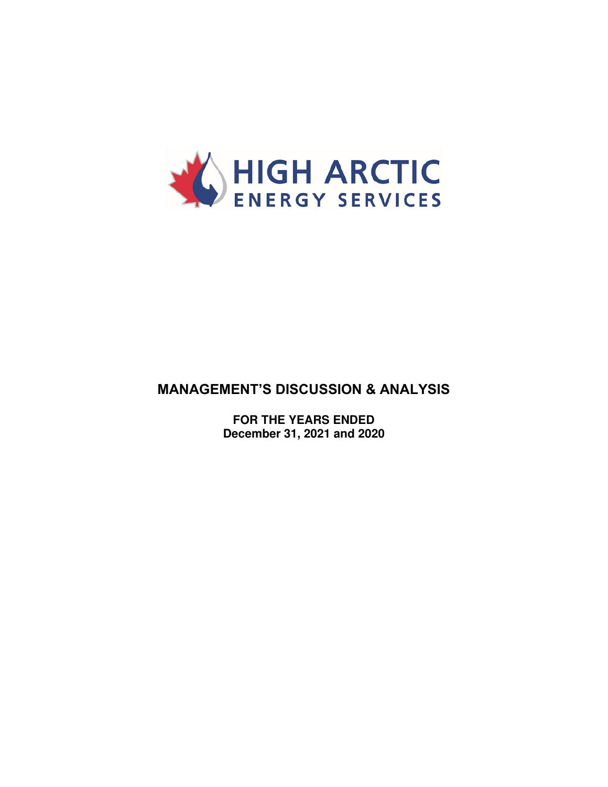

# **MANAGEMENT'S DISCUSSION & ANALYSIS**

**FOR THE YEARS ENDED December 31, 2021 and 2020**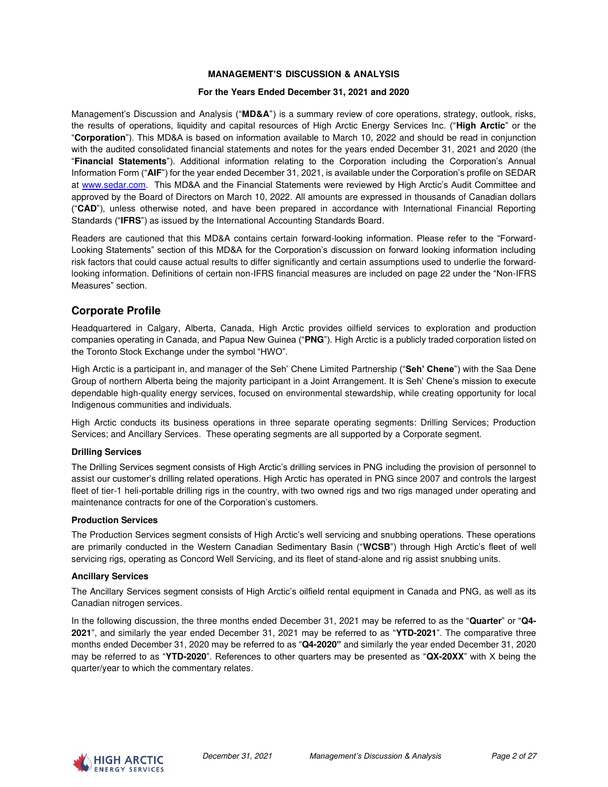#### **MANAGEMENT'S DISCUSSION & ANALYSIS**

#### **For the Years Ended December 31, 2021 and 2020**

Management's Discussion and Analysis ("**MD&A**") is a summary review of core operations, strategy, outlook, risks, the results of operations, liquidity and capital resources of High Arctic Energy Services Inc. ("**High Arctic**" or the "**Corporation**"). This MD&A is based on information available to March 10, 2022 and should be read in conjunction with the audited consolidated financial statements and notes for the years ended December 31, 2021 and 2020 (the "**Financial Statements**"). Additional information relating to the Corporation including the Corporation's Annual Information Form ("**AIF**") for the year ended December 31, 2021, is available under the Corporation's profile on SEDAR at [www.sedar.com.](http://www.sedar.com/) This MD&A and the Financial Statements were reviewed by High Arctic's Audit Committee and approved by the Board of Directors on March 10, 2022. All amounts are expressed in thousands of Canadian dollars ("**CAD**"), unless otherwise noted, and have been prepared in accordance with International Financial Reporting Standards ("**IFRS**") as issued by the International Accounting Standards Board.

Readers are cautioned that this MD&A contains certain forward-looking information. Please refer to the "Forward-Looking Statements" section of this MD&A for the Corporation's discussion on forward looking information including risk factors that could cause actual results to differ significantly and certain assumptions used to underlie the forwardlooking information. Definitions of certain non-IFRS financial measures are included on page 22 under the "Non-IFRS Measures" section.

### **Corporate Profile**

Headquartered in Calgary, Alberta, Canada, High Arctic provides oilfield services to exploration and production companies operating in Canada, and Papua New Guinea ("**PNG**"). High Arctic is a publicly traded corporation listed on the Toronto Stock Exchange under the symbol "HWO".

High Arctic is a participant in, and manager of the Seh' Chene Limited Partnership ("**Seh' Chene**") with the Saa Dene Group of northern Alberta being the majority participant in a Joint Arrangement. It is Seh' Chene's mission to execute dependable high-quality energy services, focused on environmental stewardship, while creating opportunity for local Indigenous communities and individuals.

High Arctic conducts its business operations in three separate operating segments: Drilling Services; Production Services; and Ancillary Services. These operating segments are all supported by a Corporate segment.

#### **Drilling Services**

The Drilling Services segment consists of High Arctic's drilling services in PNG including the provision of personnel to assist our customer's drilling related operations. High Arctic has operated in PNG since 2007 and controls the largest fleet of tier-1 heli-portable drilling rigs in the country, with two owned rigs and two rigs managed under operating and maintenance contracts for one of the Corporation's customers.

#### **Production Services**

The Production Services segment consists of High Arctic's well servicing and snubbing operations. These operations are primarily conducted in the Western Canadian Sedimentary Basin ("**WCSB**") through High Arctic's fleet of well servicing rigs, operating as Concord Well Servicing, and its fleet of stand-alone and rig assist snubbing units.

#### **Ancillary Services**

The Ancillary Services segment consists of High Arctic's oilfield rental equipment in Canada and PNG, as well as its Canadian nitrogen services.

In the following discussion, the three months ended December 31, 2021 may be referred to as the "**Quarter**" or "**Q4- 2021**", and similarly the year ended December 31, 2021 may be referred to as "**YTD-2021**". The comparative three months ended December 31, 2020 may be referred to as "**Q4-2020"** and similarly the year ended December 31, 2020 may be referred to as "**YTD-2020**". References to other quarters may be presented as "**QX-20XX**" with X being the quarter/year to which the commentary relates.

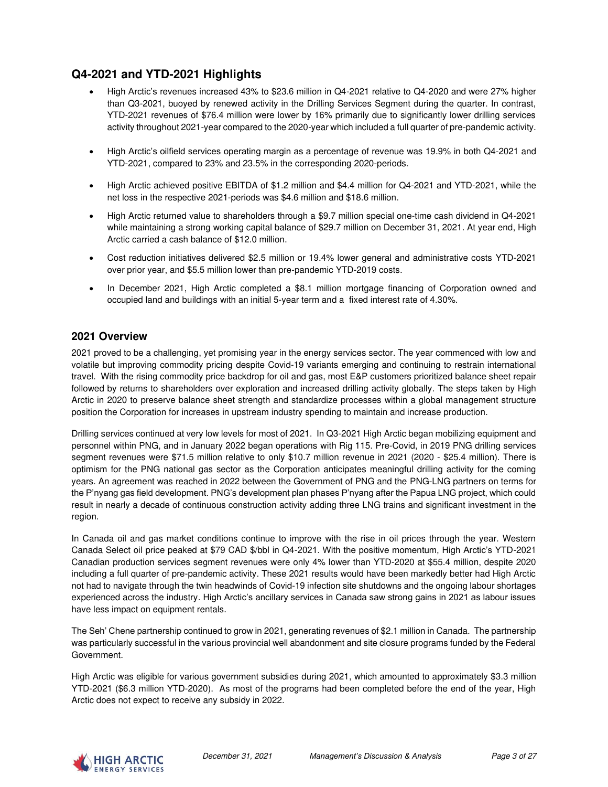# **Q4-2021 and YTD-2021 Highlights**

- High Arctic's revenues increased 43% to \$23.6 million in Q4-2021 relative to Q4-2020 and were 27% higher than Q3-2021, buoyed by renewed activity in the Drilling Services Segment during the quarter. In contrast, YTD-2021 revenues of \$76.4 million were lower by 16% primarily due to significantly lower drilling services activity throughout 2021-year compared to the 2020-year which included a full quarter of pre-pandemic activity.
- High Arctic's oilfield services operating margin as a percentage of revenue was 19.9% in both Q4-2021 and YTD-2021, compared to 23% and 23.5% in the corresponding 2020-periods.
- High Arctic achieved positive EBITDA of \$1.2 million and \$4.4 million for Q4-2021 and YTD-2021, while the net loss in the respective 2021-periods was \$4.6 million and \$18.6 million.
- High Arctic returned value to shareholders through a \$9.7 million special one-time cash dividend in Q4-2021 while maintaining a strong working capital balance of \$29.7 million on December 31, 2021. At year end, High Arctic carried a cash balance of \$12.0 million.
- Cost reduction initiatives delivered \$2.5 million or 19.4% lower general and administrative costs YTD-2021 over prior year, and \$5.5 million lower than pre-pandemic YTD-2019 costs.
- In December 2021, High Arctic completed a \$8.1 million mortgage financing of Corporation owned and occupied land and buildings with an initial 5-year term and a fixed interest rate of 4.30%.

### **2021 Overview**

2021 proved to be a challenging, yet promising year in the energy services sector. The year commenced with low and volatile but improving commodity pricing despite Covid-19 variants emerging and continuing to restrain international travel. With the rising commodity price backdrop for oil and gas, most E&P customers prioritized balance sheet repair followed by returns to shareholders over exploration and increased drilling activity globally. The steps taken by High Arctic in 2020 to preserve balance sheet strength and standardize processes within a global management structure position the Corporation for increases in upstream industry spending to maintain and increase production.

Drilling services continued at very low levels for most of 2021. In Q3-2021 High Arctic began mobilizing equipment and personnel within PNG, and in January 2022 began operations with Rig 115. Pre-Covid, in 2019 PNG drilling services segment revenues were \$71.5 million relative to only \$10.7 million revenue in 2021 (2020 - \$25.4 million). There is optimism for the PNG national gas sector as the Corporation anticipates meaningful drilling activity for the coming years. An agreement was reached in 2022 between the Government of PNG and the PNG-LNG partners on terms for the P'nyang gas field development. PNG's development plan phases P'nyang after the Papua LNG project, which could result in nearly a decade of continuous construction activity adding three LNG trains and significant investment in the region.

In Canada oil and gas market conditions continue to improve with the rise in oil prices through the year. Western Canada Select oil price peaked at \$79 CAD \$/bbl in Q4-2021. With the positive momentum, High Arctic's YTD-2021 Canadian production services segment revenues were only 4% lower than YTD-2020 at \$55.4 million, despite 2020 including a full quarter of pre-pandemic activity. These 2021 results would have been markedly better had High Arctic not had to navigate through the twin headwinds of Covid-19 infection site shutdowns and the ongoing labour shortages experienced across the industry. High Arctic's ancillary services in Canada saw strong gains in 2021 as labour issues have less impact on equipment rentals.

The Seh' Chene partnership continued to grow in 2021, generating revenues of \$2.1 million in Canada. The partnership was particularly successful in the various provincial well abandonment and site closure programs funded by the Federal Government.

High Arctic was eligible for various government subsidies during 2021, which amounted to approximately \$3.3 million YTD-2021 (\$6.3 million YTD-2020). As most of the programs had been completed before the end of the year, High Arctic does not expect to receive any subsidy in 2022.

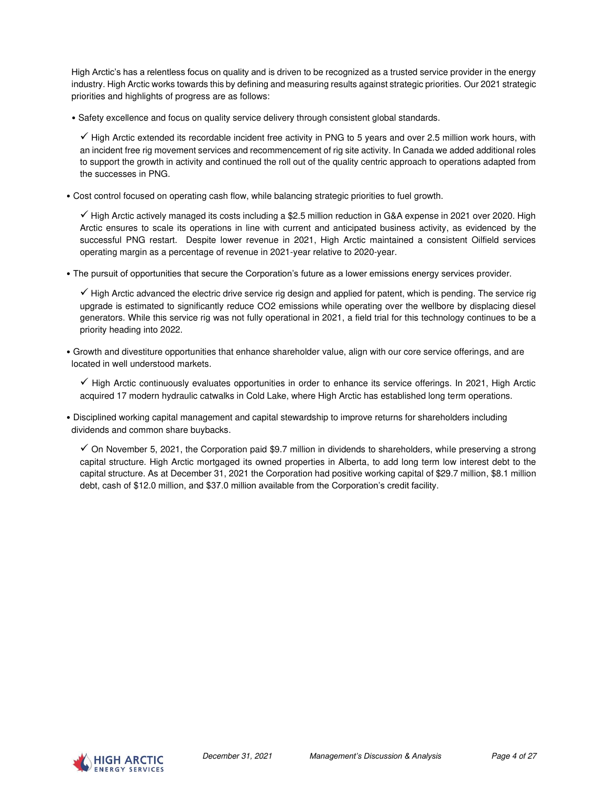High Arctic's has a relentless focus on quality and is driven to be recognized as a trusted service provider in the energy industry. High Arctic works towards this by defining and measuring results against strategic priorities. Our 2021 strategic priorities and highlights of progress are as follows:

• Safety excellence and focus on quality service delivery through consistent global standards.

✓ High Arctic extended its recordable incident free activity in PNG to 5 years and over 2.5 million work hours, with an incident free rig movement services and recommencement of rig site activity. In Canada we added additional roles to support the growth in activity and continued the roll out of the quality centric approach to operations adapted from the successes in PNG.

• Cost control focused on operating cash flow, while balancing strategic priorities to fuel growth.

✓ High Arctic actively managed its costs including a \$2.5 million reduction in G&A expense in 2021 over 2020. High Arctic ensures to scale its operations in line with current and anticipated business activity, as evidenced by the successful PNG restart. Despite lower revenue in 2021, High Arctic maintained a consistent Oilfield services operating margin as a percentage of revenue in 2021-year relative to 2020-year.

• The pursuit of opportunities that secure the Corporation's future as a lower emissions energy services provider.

✓ High Arctic advanced the electric drive service rig design and applied for patent, which is pending. The service rig upgrade is estimated to significantly reduce CO2 emissions while operating over the wellbore by displacing diesel generators. While this service rig was not fully operational in 2021, a field trial for this technology continues to be a priority heading into 2022.

• Growth and divestiture opportunities that enhance shareholder value, align with our core service offerings, and are located in well understood markets.

✓ High Arctic continuously evaluates opportunities in order to enhance its service offerings. In 2021, High Arctic acquired 17 modern hydraulic catwalks in Cold Lake, where High Arctic has established long term operations.

• Disciplined working capital management and capital stewardship to improve returns for shareholders including dividends and common share buybacks.

 $\checkmark$  On November 5, 2021, the Corporation paid \$9.7 million in dividends to shareholders, while preserving a strong capital structure. High Arctic mortgaged its owned properties in Alberta, to add long term low interest debt to the capital structure. As at December 31, 2021 the Corporation had positive working capital of \$29.7 million, \$8.1 million debt, cash of \$12.0 million, and \$37.0 million available from the Corporation's credit facility.

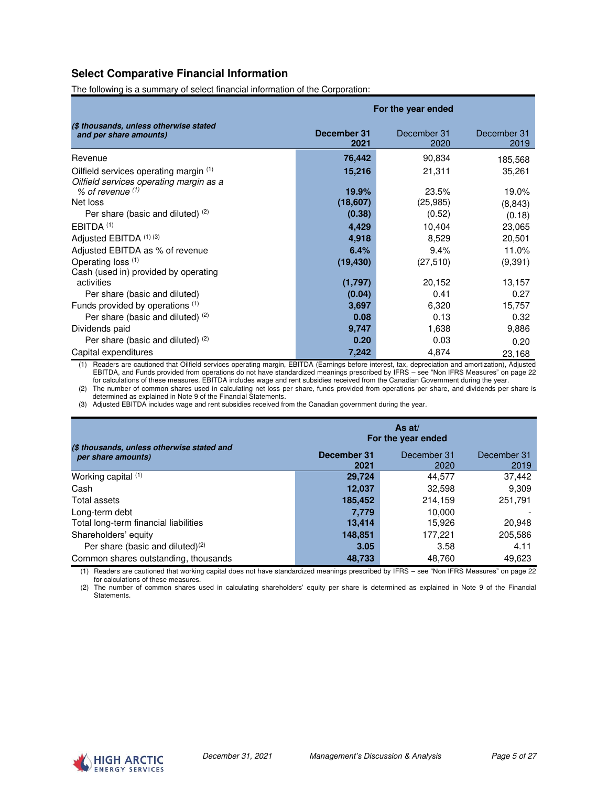### **Select Comparative Financial Information**

The following is a summary of select financial information of the Corporation:

|                                                                                   | For the year ended  |                     |                     |  |
|-----------------------------------------------------------------------------------|---------------------|---------------------|---------------------|--|
| (\$ thousands, unless otherwise stated<br>and per share amounts)                  | December 31<br>2021 | December 31<br>2020 | December 31<br>2019 |  |
| Revenue                                                                           | 76,442              | 90,834              | 185,568             |  |
| Oilfield services operating margin (1)<br>Oilfield services operating margin as a | 15,216              | 21,311              | 35,261              |  |
| $%$ of revenue $(1)$                                                              | 19.9%               | 23.5%               | 19.0%               |  |
| Net loss                                                                          | (18,607)            | (25, 985)           | (8, 843)            |  |
| Per share (basic and diluted) (2)                                                 | (0.38)              | (0.52)              | (0.18)              |  |
| EBITDA <sup>(1)</sup>                                                             | 4,429               | 10,404              | 23,065              |  |
| Adjusted EBITDA (1) (3)                                                           | 4,918               | 8,529               | 20,501              |  |
| Adjusted EBITDA as % of revenue                                                   | 6.4%                | 9.4%                | 11.0%               |  |
| Operating loss (1)                                                                | (19, 430)           | (27, 510)           | (9, 391)            |  |
| Cash (used in) provided by operating                                              |                     |                     |                     |  |
| activities                                                                        | (1,797)             | 20,152              | 13,157              |  |
| Per share (basic and diluted)                                                     | (0.04)              | 0.41                | 0.27                |  |
| Funds provided by operations (1)                                                  | 3,697               | 6,320               | 15,757              |  |
| Per share (basic and diluted) (2)                                                 | 0.08                | 0.13                | 0.32                |  |
| Dividends paid                                                                    | 9,747               | 1,638               | 9,886               |  |
| Per share (basic and diluted) (2)                                                 | 0.20                | 0.03                | 0.20                |  |
| Capital expenditures                                                              | 7,242               | 4,874               | 23,168              |  |

(1) Readers are cautioned that Oilfield services operating margin, EBITDA (Earnings before interest, tax, depreciation and amortization), Adjusted EBITDA, and Funds provided from operations do not have standardized meanings prescribed by IFRS – see "Non IFRS Measures" on page 22 for calculations of these measures. EBITDA includes wage and rent subsidies received from the Canadian Government during the year.

(2) The number of common shares used in calculating net loss per share, funds provided from operations per share, and dividends per share is determined as explained in Note 9 of the Financial Statements.

(3) Adjusted EBITDA includes wage and rent subsidies received from the Canadian government during the year.

|                                                                  | As $at/$<br>For the year ended |                     |                     |  |
|------------------------------------------------------------------|--------------------------------|---------------------|---------------------|--|
| (\$ thousands, unless otherwise stated and<br>per share amounts) | December 31<br>2021            | December 31<br>2020 | December 31<br>2019 |  |
| Working capital $(1)$                                            | 29,724                         | 44.577              | 37,442              |  |
| Cash                                                             | 12,037                         | 32,598              | 9,309               |  |
| Total assets                                                     | 185,452                        | 214.159             | 251.791             |  |
| Long-term debt                                                   | 7.779                          | 10.000              |                     |  |
| Total long-term financial liabilities                            | 13,414                         | 15.926              | 20,948              |  |
| Shareholders' equity                                             | 148,851                        | 177.221             | 205.586             |  |
| Per share (basic and diluted) <sup>(2)</sup>                     | 3.05                           | 3.58                | 4.11                |  |
| Common shares outstanding, thousands                             | 48,733                         | 48.760              | 49,623              |  |

(1) Readers are cautioned that working capital does not have standardized meanings prescribed by IFRS – see "Non IFRS Measures" on page 22 for calculations of these measures.

(2) The number of common shares used in calculating shareholders' equity per share is determined as explained in Note 9 of the Financial Statements.

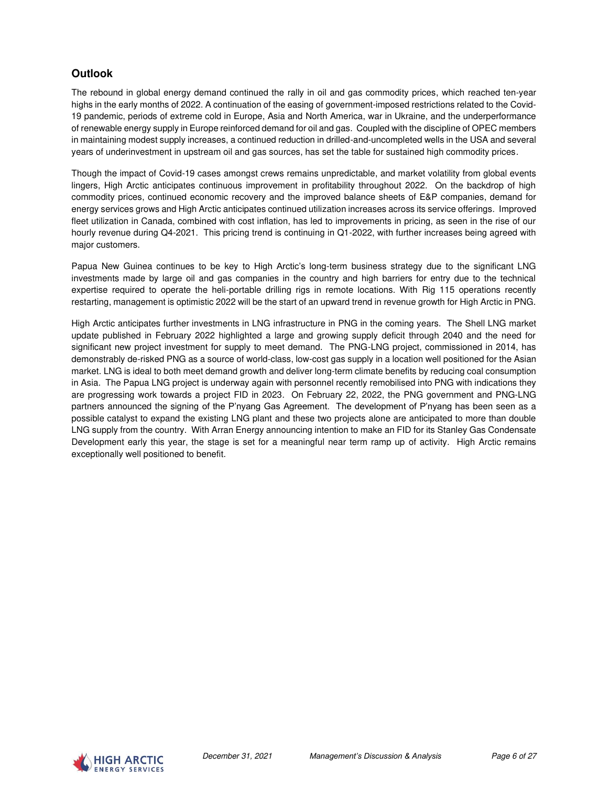# **Outlook**

The rebound in global energy demand continued the rally in oil and gas commodity prices, which reached ten-year highs in the early months of 2022. A continuation of the easing of government-imposed restrictions related to the Covid-19 pandemic, periods of extreme cold in Europe, Asia and North America, war in Ukraine, and the underperformance of renewable energy supply in Europe reinforced demand for oil and gas. Coupled with the discipline of OPEC members in maintaining modest supply increases, a continued reduction in drilled-and-uncompleted wells in the USA and several years of underinvestment in upstream oil and gas sources, has set the table for sustained high commodity prices.

Though the impact of Covid-19 cases amongst crews remains unpredictable, and market volatility from global events lingers, High Arctic anticipates continuous improvement in profitability throughout 2022. On the backdrop of high commodity prices, continued economic recovery and the improved balance sheets of E&P companies, demand for energy services grows and High Arctic anticipates continued utilization increases across its service offerings. Improved fleet utilization in Canada, combined with cost inflation, has led to improvements in pricing, as seen in the rise of our hourly revenue during Q4-2021. This pricing trend is continuing in Q1-2022, with further increases being agreed with major customers.

Papua New Guinea continues to be key to High Arctic's long-term business strategy due to the significant LNG investments made by large oil and gas companies in the country and high barriers for entry due to the technical expertise required to operate the heli-portable drilling rigs in remote locations. With Rig 115 operations recently restarting, management is optimistic 2022 will be the start of an upward trend in revenue growth for High Arctic in PNG.

High Arctic anticipates further investments in LNG infrastructure in PNG in the coming years. The Shell LNG market update published in February 2022 highlighted a large and growing supply deficit through 2040 and the need for significant new project investment for supply to meet demand. The PNG-LNG project, commissioned in 2014, has demonstrably de-risked PNG as a source of world-class, low-cost gas supply in a location well positioned for the Asian market. LNG is ideal to both meet demand growth and deliver long-term climate benefits by reducing coal consumption in Asia. The Papua LNG project is underway again with personnel recently remobilised into PNG with indications they are progressing work towards a project FID in 2023. On February 22, 2022, the PNG government and PNG-LNG partners announced the signing of the P'nyang Gas Agreement. The development of P'nyang has been seen as a possible catalyst to expand the existing LNG plant and these two projects alone are anticipated to more than double LNG supply from the country. With Arran Energy announcing intention to make an FID for its Stanley Gas Condensate Development early this year, the stage is set for a meaningful near term ramp up of activity. High Arctic remains exceptionally well positioned to benefit.

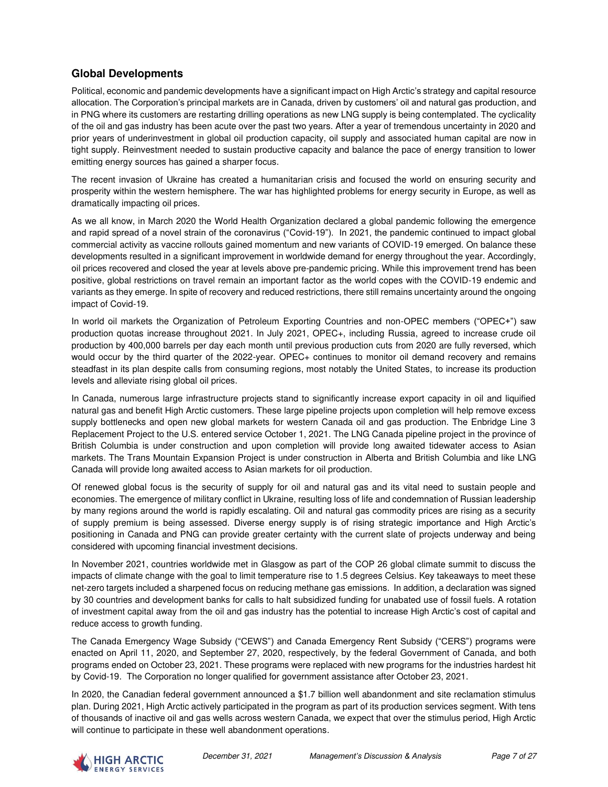# **Global Developments**

Political, economic and pandemic developments have a significant impact on High Arctic's strategy and capital resource allocation. The Corporation's principal markets are in Canada, driven by customers' oil and natural gas production, and in PNG where its customers are restarting drilling operations as new LNG supply is being contemplated. The cyclicality of the oil and gas industry has been acute over the past two years. After a year of tremendous uncertainty in 2020 and prior years of underinvestment in global oil production capacity, oil supply and associated human capital are now in tight supply. Reinvestment needed to sustain productive capacity and balance the pace of energy transition to lower emitting energy sources has gained a sharper focus.

The recent invasion of Ukraine has created a humanitarian crisis and focused the world on ensuring security and prosperity within the western hemisphere. The war has highlighted problems for energy security in Europe, as well as dramatically impacting oil prices.

As we all know, in March 2020 the World Health Organization declared a global pandemic following the emergence and rapid spread of a novel strain of the coronavirus ("Covid-19"). In 2021, the pandemic continued to impact global commercial activity as vaccine rollouts gained momentum and new variants of COVID-19 emerged. On balance these developments resulted in a significant improvement in worldwide demand for energy throughout the year. Accordingly, oil prices recovered and closed the year at levels above pre-pandemic pricing. While this improvement trend has been positive, global restrictions on travel remain an important factor as the world copes with the COVID-19 endemic and variants as they emerge. In spite of recovery and reduced restrictions, there still remains uncertainty around the ongoing impact of Covid-19.

In world oil markets the Organization of Petroleum Exporting Countries and non-OPEC members ("OPEC+") saw production quotas increase throughout 2021. In July 2021, OPEC+, including Russia, agreed to increase crude oil production by 400,000 barrels per day each month until previous production cuts from 2020 are fully reversed, which would occur by the third quarter of the 2022-year. OPEC+ continues to monitor oil demand recovery and remains steadfast in its plan despite calls from consuming regions, most notably the United States, to increase its production levels and alleviate rising global oil prices.

In Canada, numerous large infrastructure projects stand to significantly increase export capacity in oil and liquified natural gas and benefit High Arctic customers. These large pipeline projects upon completion will help remove excess supply bottlenecks and open new global markets for western Canada oil and gas production. The Enbridge Line 3 Replacement Project to the U.S. entered service October 1, 2021. The LNG Canada pipeline project in the province of British Columbia is under construction and upon completion will provide long awaited tidewater access to Asian markets. The Trans Mountain Expansion Project is under construction in Alberta and British Columbia and like LNG Canada will provide long awaited access to Asian markets for oil production.

Of renewed global focus is the security of supply for oil and natural gas and its vital need to sustain people and economies. The emergence of military conflict in Ukraine, resulting loss of life and condemnation of Russian leadership by many regions around the world is rapidly escalating. Oil and natural gas commodity prices are rising as a security of supply premium is being assessed. Diverse energy supply is of rising strategic importance and High Arctic's positioning in Canada and PNG can provide greater certainty with the current slate of projects underway and being considered with upcoming financial investment decisions.

In November 2021, countries worldwide met in Glasgow as part of the COP 26 global climate summit to discuss the impacts of climate change with the goal to limit temperature rise to 1.5 degrees Celsius. Key takeaways to meet these net-zero targets included a sharpened focus on reducing methane gas emissions. In addition, a declaration was signed by 30 countries and development banks for calls to halt subsidized funding for unabated use of fossil fuels. A rotation of investment capital away from the oil and gas industry has the potential to increase High Arctic's cost of capital and reduce access to growth funding.

The Canada Emergency Wage Subsidy ("CEWS") and Canada Emergency Rent Subsidy ("CERS") programs were enacted on April 11, 2020, and September 27, 2020, respectively, by the federal Government of Canada, and both programs ended on October 23, 2021. These programs were replaced with new programs for the industries hardest hit by Covid-19. The Corporation no longer qualified for government assistance after October 23, 2021.

In 2020, the Canadian federal government announced a \$1.7 billion well abandonment and site reclamation stimulus plan. During 2021, High Arctic actively participated in the program as part of its production services segment. With tens of thousands of inactive oil and gas wells across western Canada, we expect that over the stimulus period, High Arctic will continue to participate in these well abandonment operations.

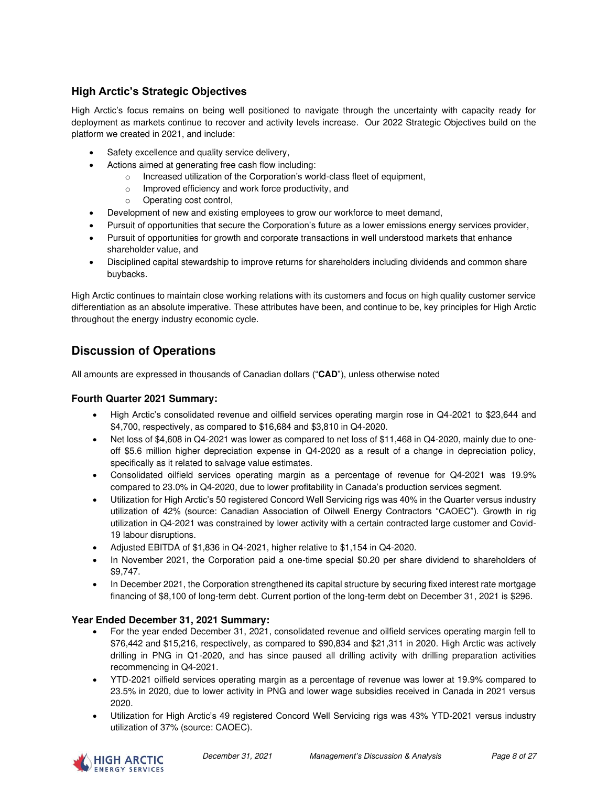# **High Arctic's Strategic Objectives**

High Arctic's focus remains on being well positioned to navigate through the uncertainty with capacity ready for deployment as markets continue to recover and activity levels increase. Our 2022 Strategic Objectives build on the platform we created in 2021, and include:

- Safety excellence and quality service delivery,
- Actions aimed at generating free cash flow including:
	- o Increased utilization of the Corporation's world-class fleet of equipment,
	- o Improved efficiency and work force productivity, and
	- o Operating cost control,
- Development of new and existing employees to grow our workforce to meet demand,
- Pursuit of opportunities that secure the Corporation's future as a lower emissions energy services provider,
- Pursuit of opportunities for growth and corporate transactions in well understood markets that enhance shareholder value, and
- Disciplined capital stewardship to improve returns for shareholders including dividends and common share buybacks.

High Arctic continues to maintain close working relations with its customers and focus on high quality customer service differentiation as an absolute imperative. These attributes have been, and continue to be, key principles for High Arctic throughout the energy industry economic cycle.

# **Discussion of Operations**

All amounts are expressed in thousands of Canadian dollars ("**CAD**"), unless otherwise noted

### **Fourth Quarter 2021 Summary:**

- High Arctic's consolidated revenue and oilfield services operating margin rose in Q4-2021 to \$23,644 and \$4,700, respectively, as compared to \$16,684 and \$3,810 in Q4-2020.
- Net loss of \$4,608 in Q4-2021 was lower as compared to net loss of \$11,468 in Q4-2020, mainly due to oneoff \$5.6 million higher depreciation expense in Q4-2020 as a result of a change in depreciation policy, specifically as it related to salvage value estimates.
- Consolidated oilfield services operating margin as a percentage of revenue for Q4-2021 was 19.9% compared to 23.0% in Q4-2020, due to lower profitability in Canada's production services segment.
- Utilization for High Arctic's 50 registered Concord Well Servicing rigs was 40% in the Quarter versus industry utilization of 42% (source: Canadian Association of Oilwell Energy Contractors "CAOEC"). Growth in rig utilization in Q4-2021 was constrained by lower activity with a certain contracted large customer and Covid-19 labour disruptions.
- Adjusted EBITDA of \$1,836 in Q4-2021, higher relative to \$1,154 in Q4-2020.
- In November 2021, the Corporation paid a one-time special \$0.20 per share dividend to shareholders of \$9,747.
- In December 2021, the Corporation strengthened its capital structure by securing fixed interest rate mortgage financing of \$8,100 of long-term debt. Current portion of the long-term debt on December 31, 2021 is \$296.

### **Year Ended December 31, 2021 Summary:**

- For the year ended December 31, 2021, consolidated revenue and oilfield services operating margin fell to \$76,442 and \$15,216, respectively, as compared to \$90,834 and \$21,311 in 2020. High Arctic was actively drilling in PNG in Q1-2020, and has since paused all drilling activity with drilling preparation activities recommencing in Q4-2021.
- YTD-2021 oilfield services operating margin as a percentage of revenue was lower at 19.9% compared to 23.5% in 2020, due to lower activity in PNG and lower wage subsidies received in Canada in 2021 versus 2020.
- Utilization for High Arctic's 49 registered Concord Well Servicing rigs was 43% YTD-2021 versus industry utilization of 37% (source: CAOEC).

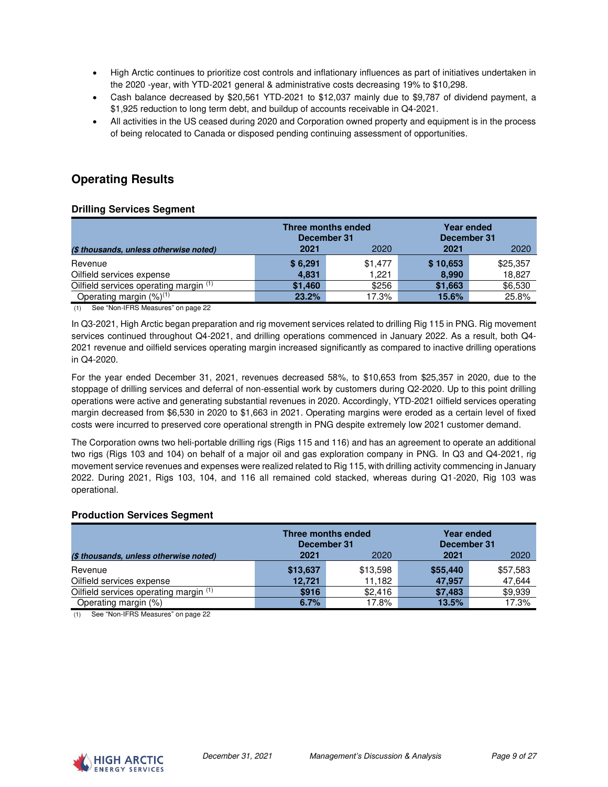- High Arctic continues to prioritize cost controls and inflationary influences as part of initiatives undertaken in the 2020 -year, with YTD-2021 general & administrative costs decreasing 19% to \$10,298.
- Cash balance decreased by \$20,561 YTD-2021 to \$12,037 mainly due to \$9,787 of dividend payment, a \$1,925 reduction to long term debt, and buildup of accounts receivable in Q4-2021.
- All activities in the US ceased during 2020 and Corporation owned property and equipment is in the process of being relocated to Canada or disposed pending continuing assessment of opportunities.

# **Operating Results**

#### **Drilling Services Segment**

| Three months ended<br>December 31        |         |         |          | <b>Year ended</b><br>December 31 |
|------------------------------------------|---------|---------|----------|----------------------------------|
| (\$ thousands, unless otherwise noted)   | 2021    | 2020    | 2021     | 2020                             |
| Revenue                                  | \$6,291 | \$1.477 | \$10,653 | \$25,357                         |
| Oilfield services expense                | 4,831   | 1.221   | 8.990    | 18,827                           |
| Oilfield services operating margin (1)   | \$1,460 | \$256   | \$1,663  | \$6,530                          |
| Operating margin $(\%)^{(1)}$            | 23.2%   | 17.3%   | 15.6%    | 25.8%                            |
| $(4)$ Can "Non JEDC Monouran" an none 00 |         |         |          |                                  |

(1) See "Non-IFRS Measures" on page 22

In Q3-2021, High Arctic began preparation and rig movement services related to drilling Rig 115 in PNG. Rig movement services continued throughout Q4-2021, and drilling operations commenced in January 2022. As a result, both Q4- 2021 revenue and oilfield services operating margin increased significantly as compared to inactive drilling operations in Q4-2020.

For the year ended December 31, 2021, revenues decreased 58%, to \$10,653 from \$25,357 in 2020, due to the stoppage of drilling services and deferral of non-essential work by customers during Q2-2020. Up to this point drilling operations were active and generating substantial revenues in 2020. Accordingly, YTD-2021 oilfield services operating margin decreased from \$6,530 in 2020 to \$1,663 in 2021. Operating margins were eroded as a certain level of fixed costs were incurred to preserved core operational strength in PNG despite extremely low 2021 customer demand.

The Corporation owns two heli-portable drilling rigs (Rigs 115 and 116) and has an agreement to operate an additional two rigs (Rigs 103 and 104) on behalf of a major oil and gas exploration company in PNG. In Q3 and Q4-2021, rig movement service revenues and expenses were realized related to Rig 115, with drilling activity commencing in January 2022. During 2021, Rigs 103, 104, and 116 all remained cold stacked, whereas during Q1-2020, Rig 103 was operational.

#### **Production Services Segment**

|                                        | Three months ended<br>December 31 |          | <b>Year ended</b><br>December 31 |          |
|----------------------------------------|-----------------------------------|----------|----------------------------------|----------|
| (\$ thousands, unless otherwise noted) | 2021                              | 2020     | 2021                             | 2020     |
| Revenue                                | \$13,637                          | \$13,598 | \$55,440                         | \$57,583 |
| Oilfield services expense              | 12.721                            | 11.182   | 47.957                           | 47,644   |
| Oilfield services operating margin (1) | \$916                             | \$2.416  | \$7,483                          | \$9,939  |
| Operating margin (%)                   | 6.7%                              | 17.8%    | 13.5%                            | 17.3%    |

(1) See "Non-IFRS Measures" on page 22

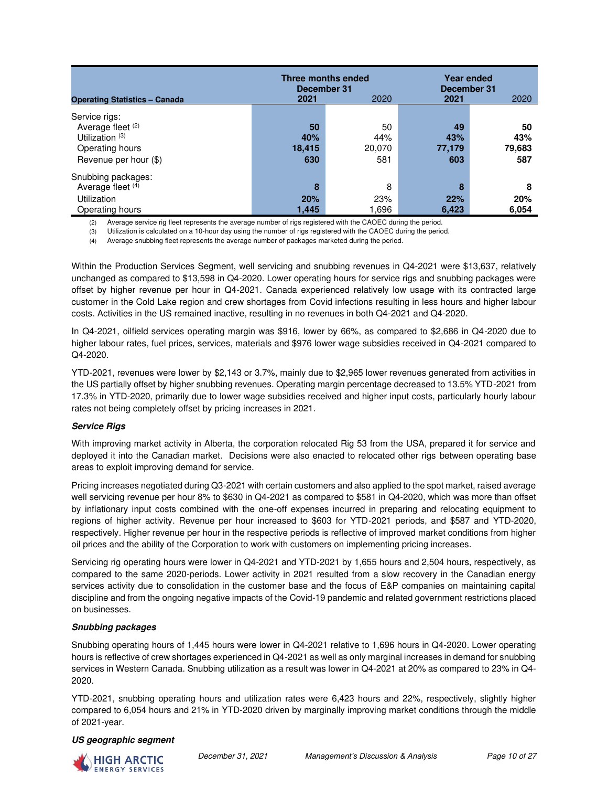|                                      | <b>Three months ended</b><br>December 31 |        | <b>Year ended</b><br>December 31 |        |
|--------------------------------------|------------------------------------------|--------|----------------------------------|--------|
| <b>Operating Statistics - Canada</b> | 2021                                     | 2020   | 2021                             | 2020   |
| Service rigs:                        |                                          |        |                                  |        |
| Average fleet (2)                    | 50                                       | 50     | 49                               | 50     |
| Utilization $(3)$                    | 40%                                      | 44%    | 43%                              | 43%    |
| Operating hours                      | 18,415                                   | 20,070 | 77,179                           | 79,683 |
| Revenue per hour (\$)                | 630                                      | 581    | 603                              | 587    |
| Snubbing packages:                   |                                          |        |                                  |        |
| Average fleet (4)                    | 8                                        | 8      | 8                                | 8      |
| <b>Utilization</b>                   | 20%                                      | 23%    | 22%                              | 20%    |
| Operating hours                      | 1,445                                    | 1,696  | 6,423                            | 6,054  |

(2) Average service rig fleet represents the average number of rigs registered with the CAOEC during the period.

(3) Utilization is calculated on a 10-hour day using the number of rigs registered with the CAOEC during the period.

(4) Average snubbing fleet represents the average number of packages marketed during the period.

Within the Production Services Segment, well servicing and snubbing revenues in Q4-2021 were \$13,637, relatively unchanged as compared to \$13,598 in Q4-2020. Lower operating hours for service rigs and snubbing packages were offset by higher revenue per hour in Q4-2021. Canada experienced relatively low usage with its contracted large customer in the Cold Lake region and crew shortages from Covid infections resulting in less hours and higher labour costs. Activities in the US remained inactive, resulting in no revenues in both Q4-2021 and Q4-2020.

In Q4-2021, oilfield services operating margin was \$916, lower by 66%, as compared to \$2,686 in Q4-2020 due to higher labour rates, fuel prices, services, materials and \$976 lower wage subsidies received in Q4-2021 compared to Q4-2020.

YTD-2021, revenues were lower by \$2,143 or 3.7%, mainly due to \$2,965 lower revenues generated from activities in the US partially offset by higher snubbing revenues. Operating margin percentage decreased to 13.5% YTD-2021 from 17.3% in YTD-2020, primarily due to lower wage subsidies received and higher input costs, particularly hourly labour rates not being completely offset by pricing increases in 2021.

#### **Service Rigs**

With improving market activity in Alberta, the corporation relocated Rig 53 from the USA, prepared it for service and deployed it into the Canadian market. Decisions were also enacted to relocated other rigs between operating base areas to exploit improving demand for service.

Pricing increases negotiated during Q3-2021 with certain customers and also applied to the spot market, raised average well servicing revenue per hour 8% to \$630 in Q4-2021 as compared to \$581 in Q4-2020, which was more than offset by inflationary input costs combined with the one-off expenses incurred in preparing and relocating equipment to regions of higher activity. Revenue per hour increased to \$603 for YTD-2021 periods, and \$587 and YTD-2020, respectively. Higher revenue per hour in the respective periods is reflective of improved market conditions from higher oil prices and the ability of the Corporation to work with customers on implementing pricing increases.

Servicing rig operating hours were lower in Q4-2021 and YTD-2021 by 1,655 hours and 2,504 hours, respectively, as compared to the same 2020-periods. Lower activity in 2021 resulted from a slow recovery in the Canadian energy services activity due to consolidation in the customer base and the focus of E&P companies on maintaining capital discipline and from the ongoing negative impacts of the Covid-19 pandemic and related government restrictions placed on businesses.

#### **Snubbing packages**

Snubbing operating hours of 1,445 hours were lower in Q4-2021 relative to 1,696 hours in Q4-2020. Lower operating hours is reflective of crew shortages experienced in Q4-2021 as well as only marginal increases in demand for snubbing services in Western Canada. Snubbing utilization as a result was lower in Q4-2021 at 20% as compared to 23% in Q4- 2020.

YTD-2021, snubbing operating hours and utilization rates were 6,423 hours and 22%, respectively, slightly higher compared to 6,054 hours and 21% in YTD-2020 driven by marginally improving market conditions through the middle of 2021-year.

#### **US geographic segment**

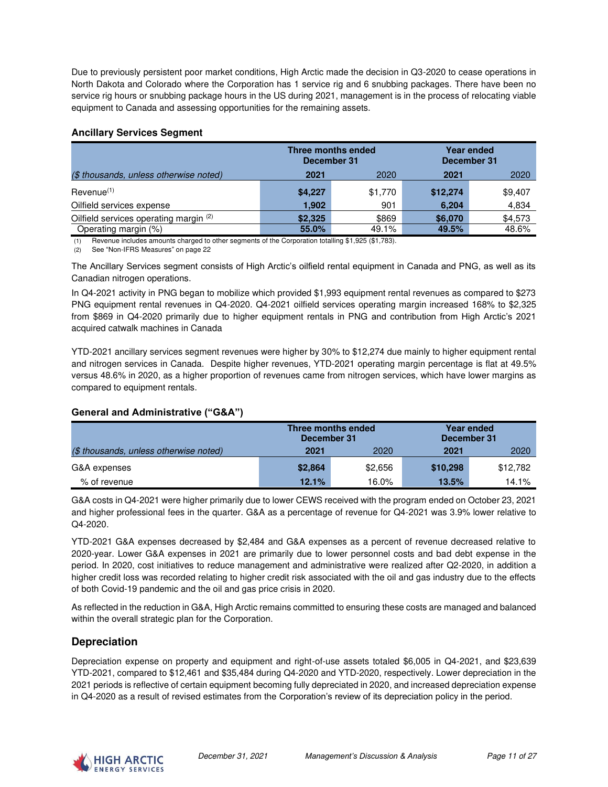Due to previously persistent poor market conditions, High Arctic made the decision in Q3-2020 to cease operations in North Dakota and Colorado where the Corporation has 1 service rig and 6 snubbing packages. There have been no service rig hours or snubbing package hours in the US during 2021, management is in the process of relocating viable equipment to Canada and assessing opportunities for the remaining assets.

#### **Ancillary Services Segment**

|                                        | Three months ended<br>December 31 |         | December 31 | <b>Year ended</b> |
|----------------------------------------|-----------------------------------|---------|-------------|-------------------|
| (\$ thousands, unless otherwise noted) | 2021                              | 2020    | 2021        | 2020              |
| Revenue <sup>(1)</sup>                 | \$4,227                           | \$1,770 | \$12,274    | \$9,407           |
| Oilfield services expense              | 1.902                             | 901     | 6,204       | 4,834             |
| Oilfield services operating margin (2) | \$2,325                           | \$869   | \$6,070     | \$4,573           |
| Operating margin (%)                   | 55.0%                             | 49.1%   | 49.5%       | 48.6%             |

(1) Revenue includes amounts charged to other segments of the Corporation totalling \$1,925 (\$1,783).

(2) See "Non-IFRS Measures" on page 22

The Ancillary Services segment consists of High Arctic's oilfield rental equipment in Canada and PNG, as well as its Canadian nitrogen operations.

In Q4-2021 activity in PNG began to mobilize which provided \$1,993 equipment rental revenues as compared to \$273 PNG equipment rental revenues in Q4-2020. Q4-2021 oilfield services operating margin increased 168% to \$2,325 from \$869 in Q4-2020 primarily due to higher equipment rentals in PNG and contribution from High Arctic's 2021 acquired catwalk machines in Canada

YTD-2021 ancillary services segment revenues were higher by 30% to \$12,274 due mainly to higher equipment rental and nitrogen services in Canada. Despite higher revenues, YTD-2021 operating margin percentage is flat at 49.5% versus 48.6% in 2020, as a higher proportion of revenues came from nitrogen services, which have lower margins as compared to equipment rentals.

### **General and Administrative ("G&A")**

|                                        | Three months ended<br>December 31 |         | December 31 | Year ended |
|----------------------------------------|-----------------------------------|---------|-------------|------------|
| (\$ thousands, unless otherwise noted) | 2021                              | 2020    | 2021        | 2020       |
| G&A expenses                           | \$2,864                           | \$2,656 | \$10,298    | \$12,782   |
| % of revenue                           | 12.1%                             | 16.0%   | 13.5%       | 14.1%      |

G&A costs in Q4-2021 were higher primarily due to lower CEWS received with the program ended on October 23, 2021 and higher professional fees in the quarter. G&A as a percentage of revenue for Q4-2021 was 3.9% lower relative to Q4-2020.

YTD-2021 G&A expenses decreased by \$2,484 and G&A expenses as a percent of revenue decreased relative to 2020-year. Lower G&A expenses in 2021 are primarily due to lower personnel costs and bad debt expense in the period. In 2020, cost initiatives to reduce management and administrative were realized after Q2-2020, in addition a higher credit loss was recorded relating to higher credit risk associated with the oil and gas industry due to the effects of both Covid-19 pandemic and the oil and gas price crisis in 2020.

As reflected in the reduction in G&A, High Arctic remains committed to ensuring these costs are managed and balanced within the overall strategic plan for the Corporation.

# **Depreciation**

Depreciation expense on property and equipment and right-of-use assets totaled \$6,005 in Q4-2021, and \$23,639 YTD-2021, compared to \$12,461 and \$35,484 during Q4-2020 and YTD-2020, respectively. Lower depreciation in the 2021 periods is reflective of certain equipment becoming fully depreciated in 2020, and increased depreciation expense in Q4-2020 as a result of revised estimates from the Corporation's review of its depreciation policy in the period.

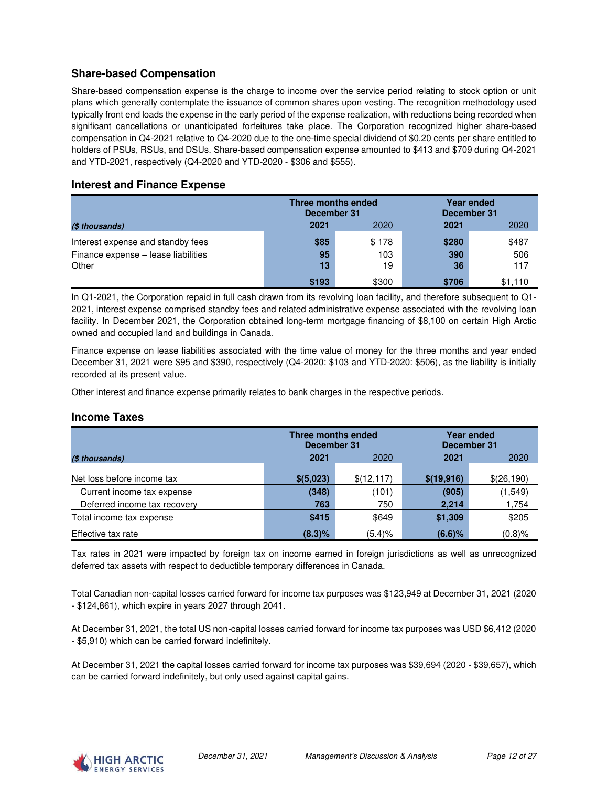# **Share-based Compensation**

Share-based compensation expense is the charge to income over the service period relating to stock option or unit plans which generally contemplate the issuance of common shares upon vesting. The recognition methodology used typically front end loads the expense in the early period of the expense realization, with reductions being recorded when significant cancellations or unanticipated forfeitures take place. The Corporation recognized higher share-based compensation in Q4-2021 relative to Q4-2020 due to the one-time special dividend of \$0.20 cents per share entitled to holders of PSUs, RSUs, and DSUs. Share-based compensation expense amounted to \$413 and \$709 during Q4-2021 and YTD-2021, respectively (Q4-2020 and YTD-2020 - \$306 and \$555).

### **Interest and Finance Expense**

|                                     | Three months ended<br>December 31 |       | December 31 | <b>Year ended</b> |
|-------------------------------------|-----------------------------------|-------|-------------|-------------------|
| (\$ thousands)                      | 2021                              | 2020  | 2021        | 2020              |
| Interest expense and standby fees   | \$85                              | \$178 | \$280       | \$487             |
| Finance expense - lease liabilities | 95                                | 103   | 390         | 506               |
| Other                               | 13                                | 19    | 36          | 117               |
|                                     | \$193                             | \$300 | \$706       | \$1,110           |

In Q1-2021, the Corporation repaid in full cash drawn from its revolving loan facility, and therefore subsequent to Q1- 2021, interest expense comprised standby fees and related administrative expense associated with the revolving loan facility. In December 2021, the Corporation obtained long-term mortgage financing of \$8,100 on certain High Arctic owned and occupied land and buildings in Canada.

Finance expense on lease liabilities associated with the time value of money for the three months and year ended December 31, 2021 were \$95 and \$390, respectively (Q4-2020: \$103 and YTD-2020: \$506), as the liability is initially recorded at its present value.

Other interest and finance expense primarily relates to bank charges in the respective periods.

### **Income Taxes**

| Three months ended<br>December 31 |            |             |             | <b>Year ended</b><br>December 31 |
|-----------------------------------|------------|-------------|-------------|----------------------------------|
| (\$ thousands)                    | 2021       | 2020        | 2021        | 2020                             |
|                                   |            |             |             |                                  |
| Net loss before income tax        | \$ (5,023) | \$(12, 117) | \$(19, 916) | \$(26,190)                       |
| Current income tax expense        | (348)      | (101)       | (905)       | (1,549)                          |
| Deferred income tax recovery      | 763        | 750         | 2,214       | 1,754                            |
| Total income tax expense          | \$415      | \$649       | \$1,309     | \$205                            |
| Effective tax rate                | (8.3)%     | (5.4)%      | $(6.6)$ %   | $(0.8)$ %                        |

Tax rates in 2021 were impacted by foreign tax on income earned in foreign jurisdictions as well as unrecognized deferred tax assets with respect to deductible temporary differences in Canada.

Total Canadian non-capital losses carried forward for income tax purposes was \$123,949 at December 31, 2021 (2020 - \$124,861), which expire in years 2027 through 2041.

At December 31, 2021, the total US non-capital losses carried forward for income tax purposes was USD \$6,412 (2020 - \$5,910) which can be carried forward indefinitely.

At December 31, 2021 the capital losses carried forward for income tax purposes was \$39,694 (2020 - \$39,657), which can be carried forward indefinitely, but only used against capital gains.

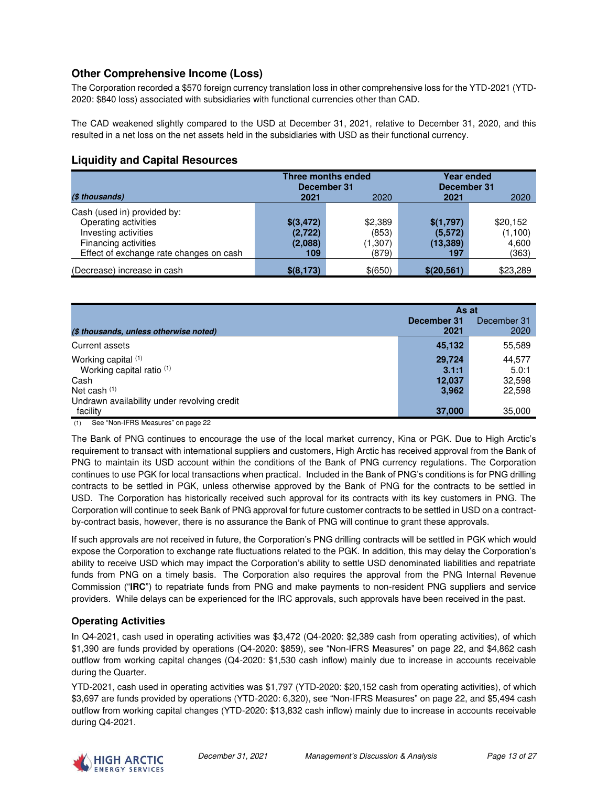# **Other Comprehensive Income (Loss)**

The Corporation recorded a \$570 foreign currency translation loss in other comprehensive loss for the YTD-2021 (YTD-2020: \$840 loss) associated with subsidiaries with functional currencies other than CAD.

The CAD weakened slightly compared to the USD at December 31, 2021, relative to December 31, 2020, and this resulted in a net loss on the net assets held in the subsidiaries with USD as their functional currency.

# **Liquidity and Capital Resources**

|                                         | Three months ended<br>December 31 |          | <b>Year ended</b><br>December 31 |          |
|-----------------------------------------|-----------------------------------|----------|----------------------------------|----------|
| (\$ thousands)                          | 2021                              | 2020     | 2021                             | 2020     |
| Cash (used in) provided by:             |                                   |          |                                  |          |
| Operating activities                    | \$(3,472)                         | \$2,389  | \$(1,797)                        | \$20,152 |
| Investing activities                    | (2,722)                           | (853)    | (5, 572)                         | (1,100)  |
| Financing activities                    | (2,088)                           | (1, 307) | (13, 389)                        | 4,600    |
| Effect of exchange rate changes on cash | 109                               | (879)    | 197                              | (363)    |
| (Decrease) increase in cash             | \$ (8, 173)                       | \$(650)  | \$(20, 561)                      | \$23,289 |

|                                             | As at               |                     |  |
|---------------------------------------------|---------------------|---------------------|--|
| (\$ thousands, unless otherwise noted)      | December 31<br>2021 | December 31<br>2020 |  |
|                                             |                     |                     |  |
| Current assets                              | 45,132              | 55,589              |  |
| Working capital (1)                         | 29,724              | 44,577              |  |
| Working capital ratio (1)                   | 3.1:1               | 5.0:1               |  |
| Cash                                        | 12,037              | 32,598              |  |
| Net cash $(1)$                              | 3,962               | 22,598              |  |
| Undrawn availability under revolving credit |                     |                     |  |
| facility                                    | 37,000              | 35,000              |  |

(1) See "Non-IFRS Measures" on page 22

The Bank of PNG continues to encourage the use of the local market currency, Kina or PGK. Due to High Arctic's requirement to transact with international suppliers and customers, High Arctic has received approval from the Bank of PNG to maintain its USD account within the conditions of the Bank of PNG currency regulations. The Corporation continues to use PGK for local transactions when practical. Included in the Bank of PNG's conditions is for PNG drilling contracts to be settled in PGK, unless otherwise approved by the Bank of PNG for the contracts to be settled in USD. The Corporation has historically received such approval for its contracts with its key customers in PNG. The Corporation will continue to seek Bank of PNG approval for future customer contracts to be settled in USD on a contractby-contract basis, however, there is no assurance the Bank of PNG will continue to grant these approvals.

If such approvals are not received in future, the Corporation's PNG drilling contracts will be settled in PGK which would expose the Corporation to exchange rate fluctuations related to the PGK. In addition, this may delay the Corporation's ability to receive USD which may impact the Corporation's ability to settle USD denominated liabilities and repatriate funds from PNG on a timely basis. The Corporation also requires the approval from the PNG Internal Revenue Commission ("**IRC**") to repatriate funds from PNG and make payments to non-resident PNG suppliers and service providers. While delays can be experienced for the IRC approvals, such approvals have been received in the past.

### **Operating Activities**

In Q4-2021, cash used in operating activities was \$3,472 (Q4-2020: \$2,389 cash from operating activities), of which \$1,390 are funds provided by operations (Q4-2020: \$859), see "Non-IFRS Measures" on page 22, and \$4,862 cash outflow from working capital changes (Q4-2020: \$1,530 cash inflow) mainly due to increase in accounts receivable during the Quarter.

YTD-2021, cash used in operating activities was \$1,797 (YTD-2020: \$20,152 cash from operating activities), of which \$3,697 are funds provided by operations (YTD-2020: 6,320), see "Non-IFRS Measures" on page 22, and \$5,494 cash outflow from working capital changes (YTD-2020: \$13,832 cash inflow) mainly due to increase in accounts receivable during Q4-2021.

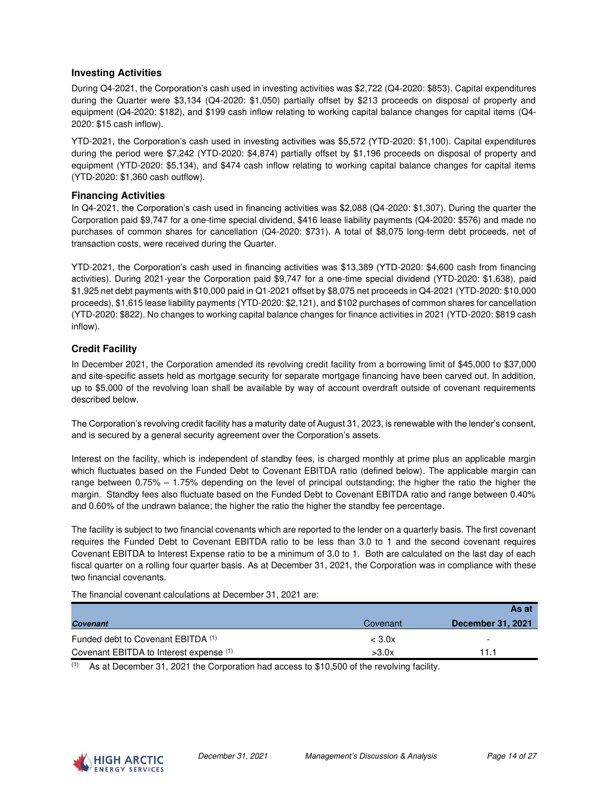#### **Investing Activities**

During Q4-2021, the Corporation's cash used in investing activities was \$2,722 (Q4-2020: \$853). Capital expenditures during the Quarter were \$3,134 (Q4-2020: \$1,050) partially offset by \$213 proceeds on disposal of property and equipment (Q4-2020: \$182), and \$199 cash inflow relating to working capital balance changes for capital items (Q4- 2020: \$15 cash inflow).

YTD-2021, the Corporation's cash used in investing activities was \$5,572 (YTD-2020: \$1,100). Capital expenditures during the period were \$7,242 (YTD-2020: \$4,874) partially offset by \$1,196 proceeds on disposal of property and equipment (YTD-2020: \$5,134), and \$474 cash inflow relating to working capital balance changes for capital items (YTD-2020: \$1,360 cash outflow).

#### **Financing Activities**

In Q4-2021, the Corporation's cash used in financing activities was \$2,088 (Q4-2020: \$1,307). During the quarter the Corporation paid \$9,747 for a one-time special dividend, \$416 lease liability payments (Q4-2020: \$576) and made no purchases of common shares for cancellation (Q4-2020: \$731). A total of \$8,075 long-term debt proceeds, net of transaction costs, were received during the Quarter.

YTD-2021, the Corporation's cash used in financing activities was \$13,389 (YTD-2020: \$4,600 cash from financing activities). During 2021-year the Corporation paid \$9,747 for a one-time special dividend (YTD-2020: \$1,638), paid \$1,925 net debt payments with \$10,000 paid in Q1-2021 offset by \$8,075 net proceeds in Q4-2021 (YTD-2020: \$10,000 proceeds), \$1,615 lease liability payments (YTD-2020: \$2,121), and \$102 purchases of common shares for cancellation (YTD-2020: \$822). No changes to working capital balance changes for finance activities in 2021 (YTD-2020: \$819 cash inflow).

#### **Credit Facility**

In December 2021, the Corporation amended its revolving credit facility from a borrowing limit of \$45,000 to \$37,000 and site-specific assets held as mortgage security for separate mortgage financing have been carved out. In addition, up to \$5,000 of the revolving loan shall be available by way of account overdraft outside of covenant requirements described below.

The Corporation's revolving credit facility has a maturity date of August 31, 2023, is renewable with the lender's consent, and is secured by a general security agreement over the Corporation's assets.

Interest on the facility, which is independent of standby fees, is charged monthly at prime plus an applicable margin which fluctuates based on the Funded Debt to Covenant EBITDA ratio (defined below). The applicable margin can range between 0.75% – 1.75% depending on the level of principal outstanding; the higher the ratio the higher the margin. Standby fees also fluctuate based on the Funded Debt to Covenant EBITDA ratio and range between 0.40% and 0.60% of the undrawn balance; the higher the ratio the higher the standby fee percentage.

The facility is subject to two financial covenants which are reported to the lender on a quarterly basis. The first covenant requires the Funded Debt to Covenant EBITDA ratio to be less than 3.0 to 1 and the second covenant requires Covenant EBITDA to Interest Expense ratio to be a minimum of 3.0 to 1. Both are calculated on the last day of each fiscal quarter on a rolling four quarter basis. As at December 31, 2021, the Corporation was in compliance with these two financial covenants.

The financial covenant calculations at December 31, 2021 are:

|                                         |                  | As at                    |
|-----------------------------------------|------------------|--------------------------|
| <b>Covenant</b>                         | Covenant         | <b>December 31, 2021</b> |
| Funded debt to Covenant EBITDA (1)      | $<$ 3.0 $\times$ | -                        |
| Covenant EBITDA to Interest expense (1) | >3.0x            | 11 1                     |

 $(1)$  As at December 31, 2021 the Corporation had access to \$10,500 of the revolving facility.

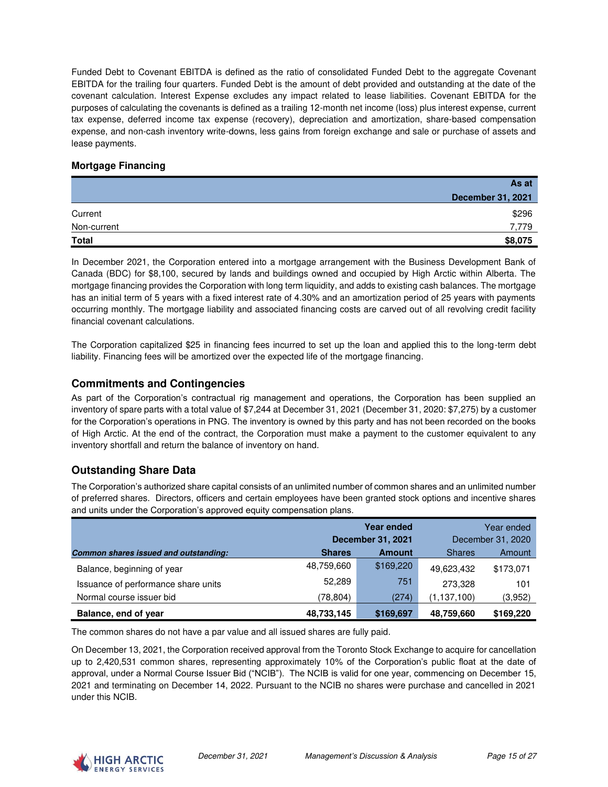Funded Debt to Covenant EBITDA is defined as the ratio of consolidated Funded Debt to the aggregate Covenant EBITDA for the trailing four quarters. Funded Debt is the amount of debt provided and outstanding at the date of the covenant calculation. Interest Expense excludes any impact related to lease liabilities. Covenant EBITDA for the purposes of calculating the covenants is defined as a trailing 12-month net income (loss) plus interest expense, current tax expense, deferred income tax expense (recovery), depreciation and amortization, share-based compensation expense, and non-cash inventory write-downs, less gains from foreign exchange and sale or purchase of assets and lease payments.

#### **Mortgage Financing**

|              | As at                    |
|--------------|--------------------------|
|              | <b>December 31, 2021</b> |
| Current      | \$296                    |
| Non-current  | 7,779                    |
| <b>Total</b> | \$8,075                  |

In December 2021, the Corporation entered into a mortgage arrangement with the Business Development Bank of Canada (BDC) for \$8,100, secured by lands and buildings owned and occupied by High Arctic within Alberta. The mortgage financing provides the Corporation with long term liquidity, and adds to existing cash balances. The mortgage has an initial term of 5 years with a fixed interest rate of 4.30% and an amortization period of 25 years with payments occurring monthly. The mortgage liability and associated financing costs are carved out of all revolving credit facility financial covenant calculations.

The Corporation capitalized \$25 in financing fees incurred to set up the loan and applied this to the long-term debt liability. Financing fees will be amortized over the expected life of the mortgage financing.

### **Commitments and Contingencies**

As part of the Corporation's contractual rig management and operations, the Corporation has been supplied an inventory of spare parts with a total value of \$7,244 at December 31, 2021 (December 31, 2020: \$7,275) by a customer for the Corporation's operations in PNG. The inventory is owned by this party and has not been recorded on the books of High Arctic. At the end of the contract, the Corporation must make a payment to the customer equivalent to any inventory shortfall and return the balance of inventory on hand.

# **Outstanding Share Data**

The Corporation's authorized share capital consists of an unlimited number of common shares and an unlimited number of preferred shares. Directors, officers and certain employees have been granted stock options and incentive shares and units under the Corporation's approved equity compensation plans.

|                                              |               | <b>Year ended</b>        | Year ended        |           |  |
|----------------------------------------------|---------------|--------------------------|-------------------|-----------|--|
|                                              |               | <b>December 31, 2021</b> | December 31, 2020 |           |  |
| <b>Common shares issued and outstanding:</b> | <b>Shares</b> | <b>Amount</b>            | <b>Shares</b>     | Amount    |  |
| Balance, beginning of year                   | 48,759,660    | \$169,220                | 49,623,432        | \$173,071 |  |
| Issuance of performance share units          | 52.289        | 751                      | 273,328           | 101       |  |
| Normal course issuer bid                     | (78, 804)     | (274)                    | (1,137,100)       | (3,952)   |  |
| Balance, end of year                         | 48,733,145    | \$169,697                | 48,759,660        | \$169,220 |  |

The common shares do not have a par value and all issued shares are fully paid.

On December 13, 2021, the Corporation received approval from the Toronto Stock Exchange to acquire for cancellation up to 2,420,531 common shares, representing approximately 10% of the Corporation's public float at the date of approval, under a Normal Course Issuer Bid ("NCIB"). The NCIB is valid for one year, commencing on December 15, 2021 and terminating on December 14, 2022. Pursuant to the NCIB no shares were purchase and cancelled in 2021 under this NCIB.

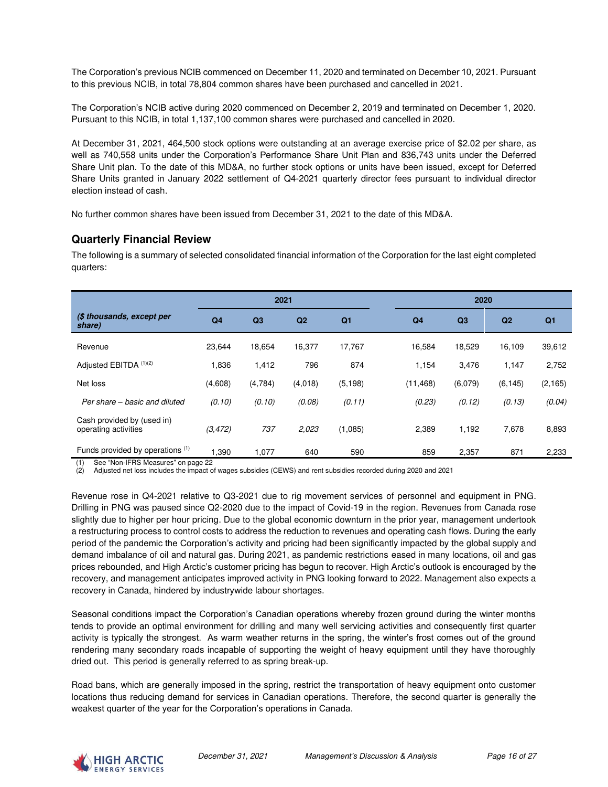The Corporation's previous NCIB commenced on December 11, 2020 and terminated on December 10, 2021. Pursuant to this previous NCIB, in total 78,804 common shares have been purchased and cancelled in 2021.

The Corporation's NCIB active during 2020 commenced on December 2, 2019 and terminated on December 1, 2020. Pursuant to this NCIB, in total 1,137,100 common shares were purchased and cancelled in 2020.

At December 31, 2021, 464,500 stock options were outstanding at an average exercise price of \$2.02 per share, as well as 740,558 units under the Corporation's Performance Share Unit Plan and 836,743 units under the Deferred Share Unit plan. To the date of this MD&A, no further stock options or units have been issued, except for Deferred Share Units granted in January 2022 settlement of Q4-2021 quarterly director fees pursuant to individual director election instead of cash.

No further common shares have been issued from December 31, 2021 to the date of this MD&A.

### **Quarterly Financial Review**

The following is a summary of selected consolidated financial information of the Corporation for the last eight completed quarters:

|                                                    | 2021           |         |                |                |                | 2020    |          |                |
|----------------------------------------------------|----------------|---------|----------------|----------------|----------------|---------|----------|----------------|
| (\$ thousands, except per<br>share)                | Q <sub>4</sub> | Q3      | Q <sub>2</sub> | Q <sub>1</sub> | Q <sub>4</sub> | Q3      | Q2       | Q <sub>1</sub> |
| Revenue                                            | 23,644         | 18,654  | 16,377         | 17,767         | 16,584         | 18,529  | 16,109   | 39,612         |
| Adjusted EBITDA (1)(2)                             | 1,836          | 1,412   | 796            | 874            | 1,154          | 3,476   | 1,147    | 2,752          |
| Net loss                                           | (4,608)        | (4,784) | (4,018)        | (5, 198)       | (11, 468)      | (6,079) | (6, 145) | (2, 165)       |
| Per share – basic and diluted                      | (0.10)         | (0.10)  | (0.08)         | (0.11)         | (0.23)         | (0.12)  | (0.13)   | (0.04)         |
| Cash provided by (used in)<br>operating activities | (3, 472)       | 737     | 2.023          | (1,085)        | 2,389          | 1,192   | 7,678    | 8,893          |
| Funds provided by operations (1)                   | 1.390          | 1.077   | 640            | 590            | 859            | 2,357   | 871      | 2,233          |

See "Non-IFRS Measures" on page 22

(2) Adjusted net loss includes the impact of wages subsidies (CEWS) and rent subsidies recorded during 2020 and 2021

Revenue rose in Q4-2021 relative to Q3-2021 due to rig movement services of personnel and equipment in PNG. Drilling in PNG was paused since Q2-2020 due to the impact of Covid-19 in the region. Revenues from Canada rose slightly due to higher per hour pricing. Due to the global economic downturn in the prior year, management undertook a restructuring process to control costs to address the reduction to revenues and operating cash flows. During the early period of the pandemic the Corporation's activity and pricing had been significantly impacted by the global supply and demand imbalance of oil and natural gas. During 2021, as pandemic restrictions eased in many locations, oil and gas prices rebounded, and High Arctic's customer pricing has begun to recover. High Arctic's outlook is encouraged by the recovery, and management anticipates improved activity in PNG looking forward to 2022. Management also expects a recovery in Canada, hindered by industrywide labour shortages.

Seasonal conditions impact the Corporation's Canadian operations whereby frozen ground during the winter months tends to provide an optimal environment for drilling and many well servicing activities and consequently first quarter activity is typically the strongest. As warm weather returns in the spring, the winter's frost comes out of the ground rendering many secondary roads incapable of supporting the weight of heavy equipment until they have thoroughly dried out. This period is generally referred to as spring break-up.

Road bans, which are generally imposed in the spring, restrict the transportation of heavy equipment onto customer locations thus reducing demand for services in Canadian operations. Therefore, the second quarter is generally the weakest quarter of the year for the Corporation's operations in Canada.

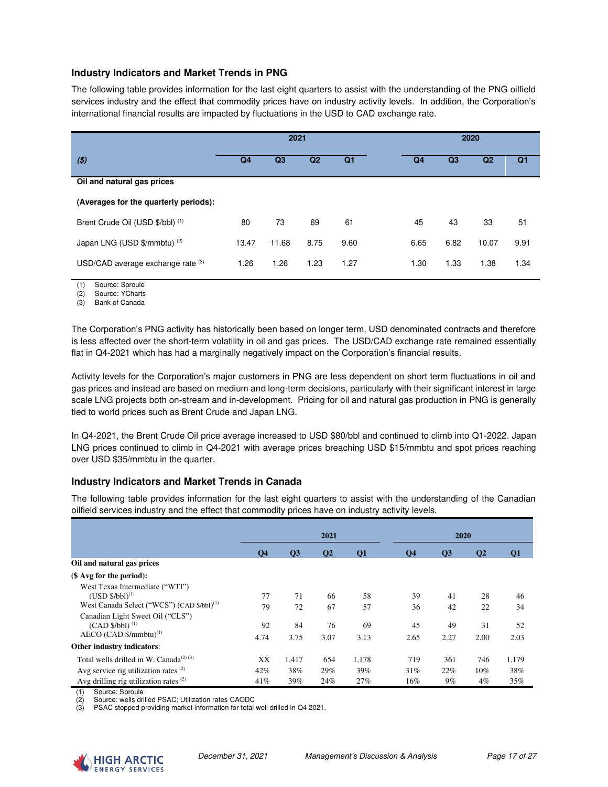#### **Industry Indicators and Market Trends in PNG**

The following table provides information for the last eight quarters to assist with the understanding of the PNG oilfield services industry and the effect that commodity prices have on industry activity levels. In addition, the Corporation's international financial results are impacted by fluctuations in the USD to CAD exchange rate.

|                                       | 2021           |       |      | 2020           |      |                |                |                |
|---------------------------------------|----------------|-------|------|----------------|------|----------------|----------------|----------------|
| ( \$)                                 | Q <sub>4</sub> | Q3    | Q2   | Q <sub>1</sub> | Q4   | Q <sub>3</sub> | Q <sub>2</sub> | Q <sub>1</sub> |
| Oil and natural gas prices            |                |       |      |                |      |                |                |                |
| (Averages for the quarterly periods): |                |       |      |                |      |                |                |                |
| Brent Crude Oil (USD \$/bbl) (1)      | 80             | 73    | 69   | 61             | 45   | 43             | 33             | 51             |
| Japan LNG (USD \$/mmbtu) (2)          | 13.47          | 11.68 | 8.75 | 9.60           | 6.65 | 6.82           | 10.07          | 9.91           |
| USD/CAD average exchange rate (3)     | 1.26           | 1.26  | 1.23 | 1.27           | 1.30 | 1.33           | 1.38           | 1.34           |

(1) Source: Sproule

(2) Source: YCharts

(3) Bank of Canada

The Corporation's PNG activity has historically been based on longer term, USD denominated contracts and therefore is less affected over the short-term volatility in oil and gas prices. The USD/CAD exchange rate remained essentially flat in Q4-2021 which has had a marginally negatively impact on the Corporation's financial results.

Activity levels for the Corporation's major customers in PNG are less dependent on short term fluctuations in oil and gas prices and instead are based on medium and long-term decisions, particularly with their significant interest in large scale LNG projects both on-stream and in-development. Pricing for oil and natural gas production in PNG is generally tied to world prices such as Brent Crude and Japan LNG.

In Q4-2021, the Brent Crude Oil price average increased to USD \$80/bbl and continued to climb into Q1-2022. Japan LNG prices continued to climb in Q4-2021 with average prices breaching USD \$15/mmbtu and spot prices reaching over USD \$35/mmbtu in the quarter.

### **Industry Indicators and Market Trends in Canada**

The following table provides information for the last eight quarters to assist with the understanding of the Canadian oilfield services industry and the effect that commodity prices have on industry activity levels.

|                                                                                                                    |                |                 | 2021         |            |                | 2020            |                 |            |  |
|--------------------------------------------------------------------------------------------------------------------|----------------|-----------------|--------------|------------|----------------|-----------------|-----------------|------------|--|
|                                                                                                                    | Q <sub>4</sub> | $\overline{O3}$ | $\mathbf{Q}$ | <b>O1</b>  | Q <sub>4</sub> | $\overline{O3}$ | $\overline{O2}$ | Ο1         |  |
| Oil and natural gas prices                                                                                         |                |                 |              |            |                |                 |                 |            |  |
| $($$ Avg for the period):                                                                                          |                |                 |              |            |                |                 |                 |            |  |
| West Texas Intermediate ("WTI")<br>$(USD $/bb1)^{(1)}$<br>West Canada Select ("WCS") (CAD \$/bbl) <sup>(1)</sup>   | 77<br>79       | 71<br>72        | 66<br>67     | 58<br>57   | 39<br>36       | 41<br>42        | 28<br>22        | 46<br>34   |  |
| Canadian Light Sweet Oil ("CLS")<br>$(CAD $/bb1)$ <sup>(1)</sup><br>$AECO$ (CAD $\frac{5}{mm}$ btu) <sup>(1)</sup> | 92<br>4.74     | 84<br>3.75      | 76<br>3.07   | 69<br>3.13 | 45<br>2.65     | 49<br>2.27      | 31<br>2.00      | 52<br>2.03 |  |
| Other industry indicators:                                                                                         |                |                 |              |            |                |                 |                 |            |  |
| Total wells drilled in W. Canada <sup><math>(2)(3)</math></sup>                                                    | XX             | 1.417           | 654          | 1,178      | 719            | 361             | 746             | 1,179      |  |
| Avg service rig utilization rates $(2)$<br>Avg drilling rig utilization rates $(2)$                                | 42%<br>41%     | 38%<br>39%      | 29%<br>24%   | 39%<br>27% | 31%<br>16%     | 22%<br>$9\%$    | 10%<br>$4\%$    | 38%<br>35% |  |

(1) Source: Sproule Source: wells drilled PSAC; Utilization rates CAODC

(3) PSAC stopped providing market information for total well drilled in Q4 2021.

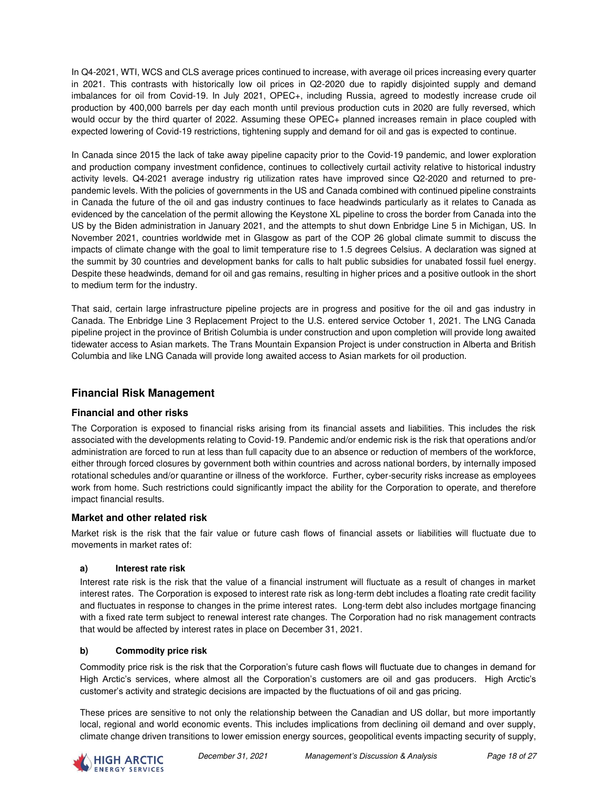In Q4-2021, WTI, WCS and CLS average prices continued to increase, with average oil prices increasing every quarter in 2021. This contrasts with historically low oil prices in Q2-2020 due to rapidly disjointed supply and demand imbalances for oil from Covid-19. In July 2021, OPEC+, including Russia, agreed to modestly increase crude oil production by 400,000 barrels per day each month until previous production cuts in 2020 are fully reversed, which would occur by the third quarter of 2022. Assuming these OPEC+ planned increases remain in place coupled with expected lowering of Covid-19 restrictions, tightening supply and demand for oil and gas is expected to continue.

In Canada since 2015 the lack of take away pipeline capacity prior to the Covid-19 pandemic, and lower exploration and production company investment confidence, continues to collectively curtail activity relative to historical industry activity levels. Q4-2021 average industry rig utilization rates have improved since Q2-2020 and returned to prepandemic levels. With the policies of governments in the US and Canada combined with continued pipeline constraints in Canada the future of the oil and gas industry continues to face headwinds particularly as it relates to Canada as evidenced by the cancelation of the permit allowing the Keystone XL pipeline to cross the border from Canada into the US by the Biden administration in January 2021, and the attempts to shut down Enbridge Line 5 in Michigan, US. In November 2021, countries worldwide met in Glasgow as part of the COP 26 global climate summit to discuss the impacts of climate change with the goal to limit temperature rise to 1.5 degrees Celsius. A declaration was signed at the summit by 30 countries and development banks for calls to halt public subsidies for unabated fossil fuel energy. Despite these headwinds, demand for oil and gas remains, resulting in higher prices and a positive outlook in the short to medium term for the industry.

That said, certain large infrastructure pipeline projects are in progress and positive for the oil and gas industry in Canada. The Enbridge Line 3 Replacement Project to the U.S. entered service October 1, 2021. The LNG Canada pipeline project in the province of British Columbia is under construction and upon completion will provide long awaited tidewater access to Asian markets. The Trans Mountain Expansion Project is under construction in Alberta and British Columbia and like LNG Canada will provide long awaited access to Asian markets for oil production.

# **Financial Risk Management**

#### **Financial and other risks**

The Corporation is exposed to financial risks arising from its financial assets and liabilities. This includes the risk associated with the developments relating to Covid-19. Pandemic and/or endemic risk is the risk that operations and/or administration are forced to run at less than full capacity due to an absence or reduction of members of the workforce, either through forced closures by government both within countries and across national borders, by internally imposed rotational schedules and/or quarantine or illness of the workforce. Further, cyber-security risks increase as employees work from home. Such restrictions could significantly impact the ability for the Corporation to operate, and therefore impact financial results.

### **Market and other related risk**

Market risk is the risk that the fair value or future cash flows of financial assets or liabilities will fluctuate due to movements in market rates of:

#### **a) Interest rate risk**

Interest rate risk is the risk that the value of a financial instrument will fluctuate as a result of changes in market interest rates. The Corporation is exposed to interest rate risk as long-term debt includes a floating rate credit facility and fluctuates in response to changes in the prime interest rates. Long-term debt also includes mortgage financing with a fixed rate term subject to renewal interest rate changes. The Corporation had no risk management contracts that would be affected by interest rates in place on December 31, 2021.

#### **b) Commodity price risk**

Commodity price risk is the risk that the Corporation's future cash flows will fluctuate due to changes in demand for High Arctic's services, where almost all the Corporation's customers are oil and gas producers. High Arctic's customer's activity and strategic decisions are impacted by the fluctuations of oil and gas pricing.

These prices are sensitive to not only the relationship between the Canadian and US dollar, but more importantly local, regional and world economic events. This includes implications from declining oil demand and over supply, climate change driven transitions to lower emission energy sources, geopolitical events impacting security of supply,

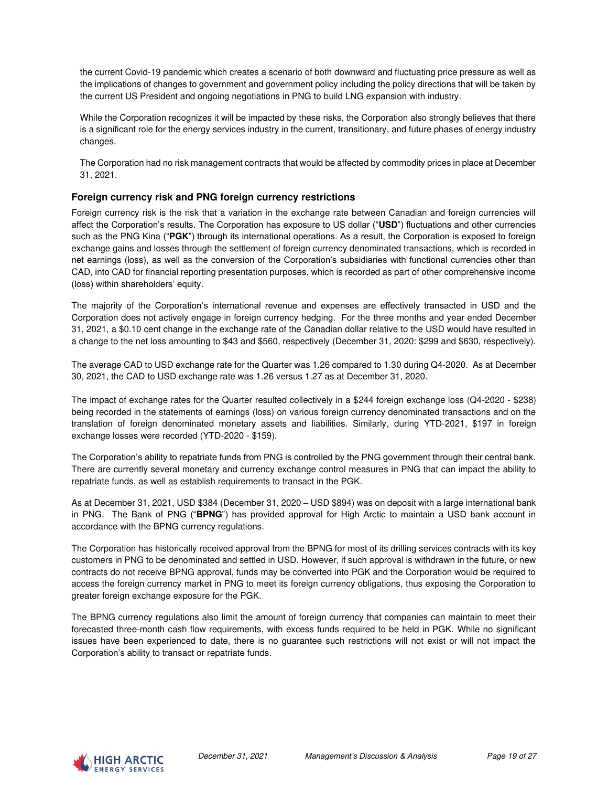the current Covid-19 pandemic which creates a scenario of both downward and fluctuating price pressure as well as the implications of changes to government and government policy including the policy directions that will be taken by the current US President and ongoing negotiations in PNG to build LNG expansion with industry.

While the Corporation recognizes it will be impacted by these risks, the Corporation also strongly believes that there is a significant role for the energy services industry in the current, transitionary, and future phases of energy industry changes.

The Corporation had no risk management contracts that would be affected by commodity prices in place at December 31, 2021.

#### **Foreign currency risk and PNG foreign currency restrictions**

Foreign currency risk is the risk that a variation in the exchange rate between Canadian and foreign currencies will affect the Corporation's results. The Corporation has exposure to US dollar ("**USD**") fluctuations and other currencies such as the PNG Kina ("**PGK**") through its international operations. As a result, the Corporation is exposed to foreign exchange gains and losses through the settlement of foreign currency denominated transactions, which is recorded in net earnings (loss), as well as the conversion of the Corporation's subsidiaries with functional currencies other than CAD, into CAD for financial reporting presentation purposes, which is recorded as part of other comprehensive income (loss) within shareholders' equity.

The majority of the Corporation's international revenue and expenses are effectively transacted in USD and the Corporation does not actively engage in foreign currency hedging. For the three months and year ended December 31, 2021, a \$0.10 cent change in the exchange rate of the Canadian dollar relative to the USD would have resulted in a change to the net loss amounting to \$43 and \$560, respectively (December 31, 2020: \$299 and \$630, respectively).

The average CAD to USD exchange rate for the Quarter was 1.26 compared to 1.30 during Q4-2020. As at December 30, 2021, the CAD to USD exchange rate was 1.26 versus 1.27 as at December 31, 2020.

The impact of exchange rates for the Quarter resulted collectively in a \$244 foreign exchange loss (Q4-2020 - \$238) being recorded in the statements of earnings (loss) on various foreign currency denominated transactions and on the translation of foreign denominated monetary assets and liabilities. Similarly, during YTD-2021, \$197 in foreign exchange losses were recorded (YTD-2020 - \$159).

The Corporation's ability to repatriate funds from PNG is controlled by the PNG government through their central bank. There are currently several monetary and currency exchange control measures in PNG that can impact the ability to repatriate funds, as well as establish requirements to transact in the PGK.

As at December 31, 2021, USD \$384 (December 31, 2020 – USD \$894) was on deposit with a large international bank in PNG. The Bank of PNG ("**BPNG**") has provided approval for High Arctic to maintain a USD bank account in accordance with the BPNG currency regulations.

The Corporation has historically received approval from the BPNG for most of its drilling services contracts with its key customers in PNG to be denominated and settled in USD. However, if such approval is withdrawn in the future, or new contracts do not receive BPNG approval, funds may be converted into PGK and the Corporation would be required to access the foreign currency market in PNG to meet its foreign currency obligations, thus exposing the Corporation to greater foreign exchange exposure for the PGK.

The BPNG currency regulations also limit the amount of foreign currency that companies can maintain to meet their forecasted three-month cash flow requirements, with excess funds required to be held in PGK. While no significant issues have been experienced to date, there is no guarantee such restrictions will not exist or will not impact the Corporation's ability to transact or repatriate funds.

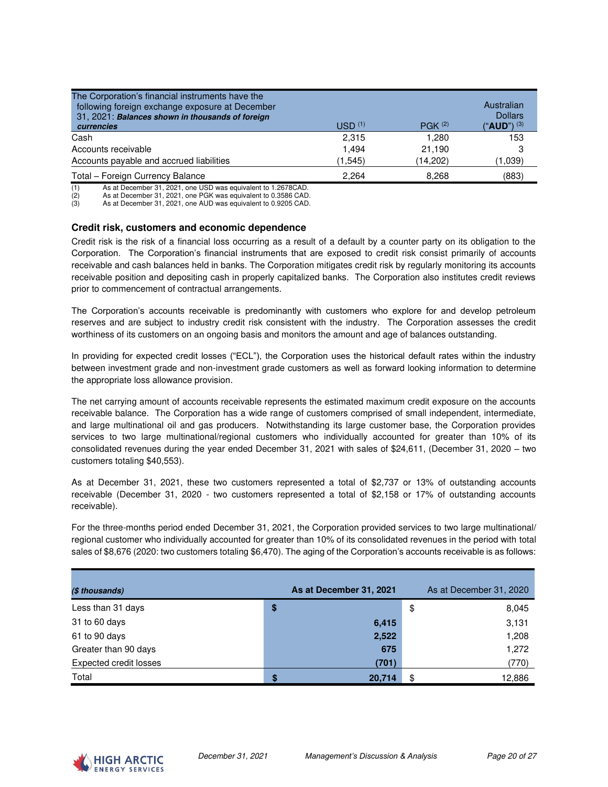| The Corporation's financial instruments have the<br>following foreign exchange exposure at December<br>31, 2021: Balances shown in thousands of foreign<br>currencies | USD <sup>(1)</sup> | P G K <sup>(2)</sup> | Australian<br><b>Dollars</b><br>$"AUD"$ $(3)$ |
|-----------------------------------------------------------------------------------------------------------------------------------------------------------------------|--------------------|----------------------|-----------------------------------------------|
| Cash                                                                                                                                                                  | 2.315              | 1.280                | 153                                           |
| Accounts receivable                                                                                                                                                   | 1.494              | 21.190               | 3                                             |
| Accounts payable and accrued liabilities                                                                                                                              | (1,545)            | (14,202)             | (1,039)                                       |
| Total - Foreign Currency Balance                                                                                                                                      | 2.264              | 8.268                | (883)                                         |

(1) As at December 31, 2021, one USD was equivalent to 1.2678CAD.

As at December 31, 2021, one PGK was equivalent to 0.3586 CAD.

(3) As at December 31, 2021, one AUD was equivalent to 0.9205 CAD.

#### **Credit risk, customers and economic dependence**

Credit risk is the risk of a financial loss occurring as a result of a default by a counter party on its obligation to the Corporation. The Corporation's financial instruments that are exposed to credit risk consist primarily of accounts receivable and cash balances held in banks. The Corporation mitigates credit risk by regularly monitoring its accounts receivable position and depositing cash in properly capitalized banks. The Corporation also institutes credit reviews prior to commencement of contractual arrangements.

The Corporation's accounts receivable is predominantly with customers who explore for and develop petroleum reserves and are subject to industry credit risk consistent with the industry. The Corporation assesses the credit worthiness of its customers on an ongoing basis and monitors the amount and age of balances outstanding.

In providing for expected credit losses ("ECL"), the Corporation uses the historical default rates within the industry between investment grade and non-investment grade customers as well as forward looking information to determine the appropriate loss allowance provision.

The net carrying amount of accounts receivable represents the estimated maximum credit exposure on the accounts receivable balance. The Corporation has a wide range of customers comprised of small independent, intermediate, and large multinational oil and gas producers. Notwithstanding its large customer base, the Corporation provides services to two large multinational/regional customers who individually accounted for greater than 10% of its consolidated revenues during the year ended December 31, 2021 with sales of \$24,611, (December 31, 2020 – two customers totaling \$40,553).

As at December 31, 2021, these two customers represented a total of \$2,737 or 13% of outstanding accounts receivable (December 31, 2020 - two customers represented a total of \$2,158 or 17% of outstanding accounts receivable).

For the three-months period ended December 31, 2021, the Corporation provided services to two large multinational/ regional customer who individually accounted for greater than 10% of its consolidated revenues in the period with total sales of \$8,676 (2020: two customers totaling \$6,470). The aging of the Corporation's accounts receivable is as follows:

| (\$ thousands)         |    | As at December 31, 2021 |    | As at December 31, 2020 |
|------------------------|----|-------------------------|----|-------------------------|
| Less than 31 days      | \$ |                         | \$ | 8,045                   |
| 31 to 60 days          |    | 6,415                   |    | 3,131                   |
| 61 to 90 days          |    | 2,522                   |    | 1,208                   |
| Greater than 90 days   |    | 675                     |    | 1,272                   |
| Expected credit losses |    | (701)                   |    | (770)                   |
| Total                  | S  | 20.714                  | S  | 12,886                  |

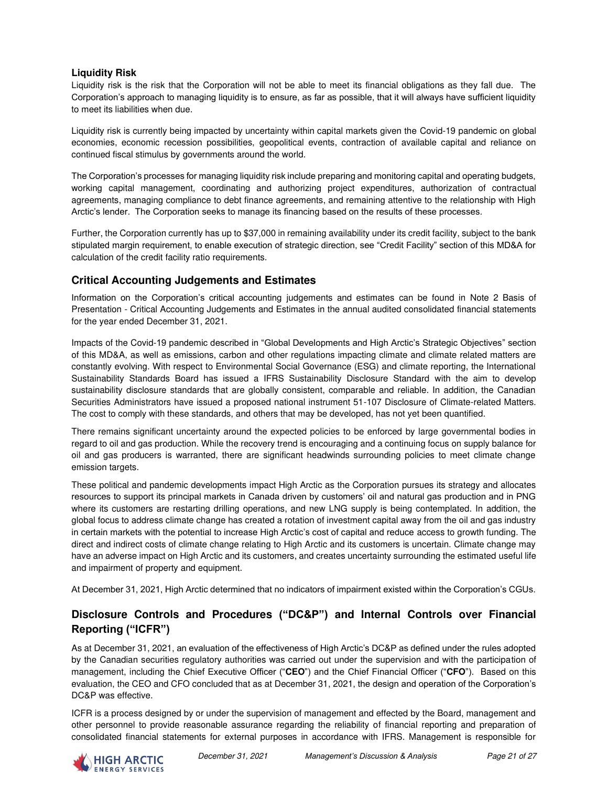### **Liquidity Risk**

Liquidity risk is the risk that the Corporation will not be able to meet its financial obligations as they fall due. The Corporation's approach to managing liquidity is to ensure, as far as possible, that it will always have sufficient liquidity to meet its liabilities when due.

Liquidity risk is currently being impacted by uncertainty within capital markets given the Covid-19 pandemic on global economies, economic recession possibilities, geopolitical events, contraction of available capital and reliance on continued fiscal stimulus by governments around the world.

The Corporation's processes for managing liquidity risk include preparing and monitoring capital and operating budgets, working capital management, coordinating and authorizing project expenditures, authorization of contractual agreements, managing compliance to debt finance agreements, and remaining attentive to the relationship with High Arctic's lender. The Corporation seeks to manage its financing based on the results of these processes.

Further, the Corporation currently has up to \$37,000 in remaining availability under its credit facility, subject to the bank stipulated margin requirement, to enable execution of strategic direction, see "Credit Facility" section of this MD&A for calculation of the credit facility ratio requirements.

### **Critical Accounting Judgements and Estimates**

Information on the Corporation's critical accounting judgements and estimates can be found in Note 2 Basis of Presentation - Critical Accounting Judgements and Estimates in the annual audited consolidated financial statements for the year ended December 31, 2021.

Impacts of the Covid-19 pandemic described in "Global Developments and High Arctic's Strategic Objectives" section of this MD&A, as well as emissions, carbon and other regulations impacting climate and climate related matters are constantly evolving. With respect to Environmental Social Governance (ESG) and climate reporting, the International Sustainability Standards Board has issued a IFRS Sustainability Disclosure Standard with the aim to develop sustainability disclosure standards that are globally consistent, comparable and reliable. In addition, the Canadian Securities Administrators have issued a proposed national instrument 51-107 Disclosure of Climate-related Matters. The cost to comply with these standards, and others that may be developed, has not yet been quantified.

There remains significant uncertainty around the expected policies to be enforced by large governmental bodies in regard to oil and gas production. While the recovery trend is encouraging and a continuing focus on supply balance for oil and gas producers is warranted, there are significant headwinds surrounding policies to meet climate change emission targets.

These political and pandemic developments impact High Arctic as the Corporation pursues its strategy and allocates resources to support its principal markets in Canada driven by customers' oil and natural gas production and in PNG where its customers are restarting drilling operations, and new LNG supply is being contemplated. In addition, the global focus to address climate change has created a rotation of investment capital away from the oil and gas industry in certain markets with the potential to increase High Arctic's cost of capital and reduce access to growth funding. The direct and indirect costs of climate change relating to High Arctic and its customers is uncertain. Climate change may have an adverse impact on High Arctic and its customers, and creates uncertainty surrounding the estimated useful life and impairment of property and equipment.

At December 31, 2021, High Arctic determined that no indicators of impairment existed within the Corporation's CGUs.

# **Disclosure Controls and Procedures ("DC&P") and Internal Controls over Financial Reporting ("ICFR")**

As at December 31, 2021, an evaluation of the effectiveness of High Arctic's DC&P as defined under the rules adopted by the Canadian securities regulatory authorities was carried out under the supervision and with the participation of management, including the Chief Executive Officer ("**CEO**") and the Chief Financial Officer ("**CFO**"). Based on this evaluation, the CEO and CFO concluded that as at December 31, 2021, the design and operation of the Corporation's DC&P was effective.

ICFR is a process designed by or under the supervision of management and effected by the Board, management and other personnel to provide reasonable assurance regarding the reliability of financial reporting and preparation of consolidated financial statements for external purposes in accordance with IFRS. Management is responsible for

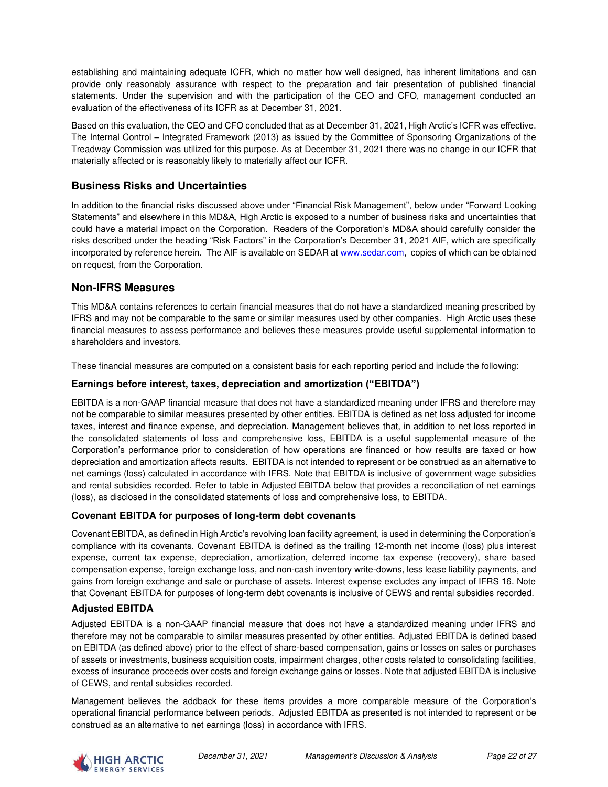establishing and maintaining adequate ICFR, which no matter how well designed, has inherent limitations and can provide only reasonably assurance with respect to the preparation and fair presentation of published financial statements. Under the supervision and with the participation of the CEO and CFO, management conducted an evaluation of the effectiveness of its ICFR as at December 31, 2021.

Based on this evaluation, the CEO and CFO concluded that as at December 31, 2021, High Arctic's ICFR was effective. The Internal Control – Integrated Framework (2013) as issued by the Committee of Sponsoring Organizations of the Treadway Commission was utilized for this purpose. As at December 31, 2021 there was no change in our ICFR that materially affected or is reasonably likely to materially affect our ICFR.

# **Business Risks and Uncertainties**

In addition to the financial risks discussed above under "Financial Risk Management", below under "Forward Looking Statements" and elsewhere in this MD&A, High Arctic is exposed to a number of business risks and uncertainties that could have a material impact on the Corporation. Readers of the Corporation's MD&A should carefully consider the risks described under the heading "Risk Factors" in the Corporation's December 31, 2021 AIF, which are specifically incorporated by reference herein. The AIF is available on SEDAR at [www.sedar.com,](http://www.sedar.com/) copies of which can be obtained on request, from the Corporation.

### **Non-IFRS Measures**

This MD&A contains references to certain financial measures that do not have a standardized meaning prescribed by IFRS and may not be comparable to the same or similar measures used by other companies. High Arctic uses these financial measures to assess performance and believes these measures provide useful supplemental information to shareholders and investors.

These financial measures are computed on a consistent basis for each reporting period and include the following:

#### **Earnings before interest, taxes, depreciation and amortization ("EBITDA")**

EBITDA is a non-GAAP financial measure that does not have a standardized meaning under IFRS and therefore may not be comparable to similar measures presented by other entities. EBITDA is defined as net loss adjusted for income taxes, interest and finance expense, and depreciation. Management believes that, in addition to net loss reported in the consolidated statements of loss and comprehensive loss, EBITDA is a useful supplemental measure of the Corporation's performance prior to consideration of how operations are financed or how results are taxed or how depreciation and amortization affects results. EBITDA is not intended to represent or be construed as an alternative to net earnings (loss) calculated in accordance with IFRS. Note that EBITDA is inclusive of government wage subsidies and rental subsidies recorded. Refer to table in Adjusted EBITDA below that provides a reconciliation of net earnings (loss), as disclosed in the consolidated statements of loss and comprehensive loss, to EBITDA.

#### **Covenant EBITDA for purposes of long-term debt covenants**

Covenant EBITDA, as defined in High Arctic's revolving loan facility agreement, is used in determining the Corporation's compliance with its covenants. Covenant EBITDA is defined as the trailing 12-month net income (loss) plus interest expense, current tax expense, depreciation, amortization, deferred income tax expense (recovery), share based compensation expense, foreign exchange loss, and non-cash inventory write-downs, less lease liability payments, and gains from foreign exchange and sale or purchase of assets. Interest expense excludes any impact of IFRS 16. Note that Covenant EBITDA for purposes of long-term debt covenants is inclusive of CEWS and rental subsidies recorded.

### **Adjusted EBITDA**

Adjusted EBITDA is a non-GAAP financial measure that does not have a standardized meaning under IFRS and therefore may not be comparable to similar measures presented by other entities. Adjusted EBITDA is defined based on EBITDA (as defined above) prior to the effect of share-based compensation, gains or losses on sales or purchases of assets or investments, business acquisition costs, impairment charges, other costs related to consolidating facilities, excess of insurance proceeds over costs and foreign exchange gains or losses. Note that adjusted EBITDA is inclusive of CEWS, and rental subsidies recorded.

Management believes the addback for these items provides a more comparable measure of the Corporation's operational financial performance between periods. Adjusted EBITDA as presented is not intended to represent or be construed as an alternative to net earnings (loss) in accordance with IFRS.

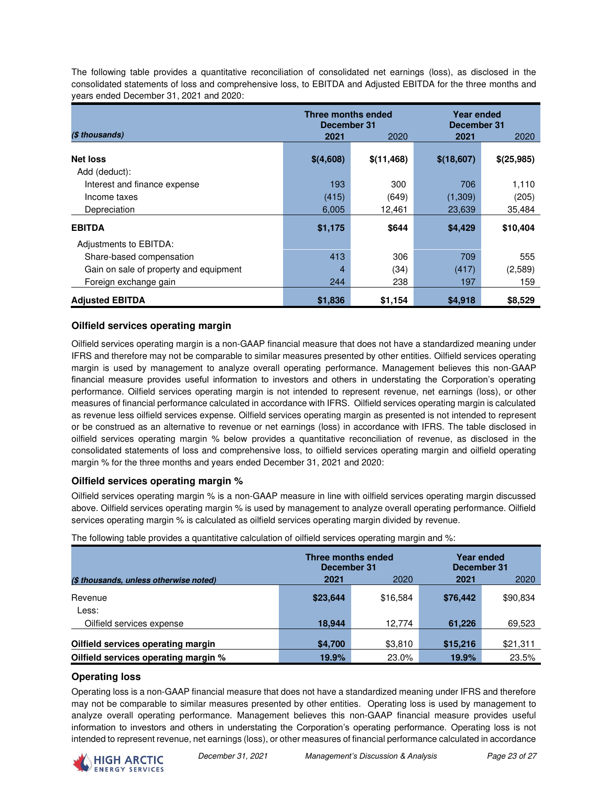The following table provides a quantitative reconciliation of consolidated net earnings (loss), as disclosed in the consolidated statements of loss and comprehensive loss, to EBITDA and Adjusted EBITDA for the three months and years ended December 31, 2021 and 2020:

|                                        | Three months ended<br>December 31 |            |            | Year ended<br>December 31 |  |  |
|----------------------------------------|-----------------------------------|------------|------------|---------------------------|--|--|
| (\$ thousands)                         | 2021                              | 2020       | 2021       | 2020                      |  |  |
| <b>Net loss</b>                        |                                   |            |            |                           |  |  |
| Add (deduct):                          | \$(4,608)                         | \$(11,468) | \$(18,607) | \$(25,985)                |  |  |
| Interest and finance expense           | 193                               | 300        | 706        | 1,110                     |  |  |
| Income taxes                           | (415)                             | (649)      | (1,309)    | (205)                     |  |  |
| Depreciation                           | 6,005                             | 12,461     | 23,639     | 35,484                    |  |  |
| <b>EBITDA</b>                          | \$1,175                           | \$644      | \$4,429    | \$10,404                  |  |  |
| Adjustments to EBITDA:                 |                                   |            |            |                           |  |  |
| Share-based compensation               | 413                               | 306        | 709        | 555                       |  |  |
| Gain on sale of property and equipment | 4                                 | (34)       | (417)      | (2,589)                   |  |  |
| Foreign exchange gain                  | 244                               | 238        | 197        | 159                       |  |  |
| <b>Adjusted EBITDA</b>                 | \$1,836                           | \$1,154    | \$4,918    | \$8,529                   |  |  |

### **Oilfield services operating margin**

Oilfield services operating margin is a non-GAAP financial measure that does not have a standardized meaning under IFRS and therefore may not be comparable to similar measures presented by other entities. Oilfield services operating margin is used by management to analyze overall operating performance. Management believes this non-GAAP financial measure provides useful information to investors and others in understating the Corporation's operating performance. Oilfield services operating margin is not intended to represent revenue, net earnings (loss), or other measures of financial performance calculated in accordance with IFRS. Oilfield services operating margin is calculated as revenue less oilfield services expense. Oilfield services operating margin as presented is not intended to represent or be construed as an alternative to revenue or net earnings (loss) in accordance with IFRS. The table disclosed in oilfield services operating margin % below provides a quantitative reconciliation of revenue, as disclosed in the consolidated statements of loss and comprehensive loss, to oilfield services operating margin and oilfield operating margin % for the three months and years ended December 31, 2021 and 2020:

### **Oilfield services operating margin %**

Oilfield services operating margin % is a non-GAAP measure in line with oilfield services operating margin discussed above. Oilfield services operating margin % is used by management to analyze overall operating performance. Oilfield services operating margin % is calculated as oilfield services operating margin divided by revenue.

|                                        | Three months ended<br>December 31 |          | Year ended<br>December 31 |          |  |
|----------------------------------------|-----------------------------------|----------|---------------------------|----------|--|
| (\$ thousands, unless otherwise noted) | 2021                              | 2020     | 2021                      | 2020     |  |
| Revenue                                | \$23,644                          | \$16,584 | \$76,442                  | \$90,834 |  |
| Less:                                  |                                   |          |                           |          |  |
| Oilfield services expense              | 18,944                            | 12,774   | 61,226                    | 69,523   |  |
|                                        |                                   |          |                           |          |  |
| Oilfield services operating margin     | \$4,700                           | \$3,810  | \$15,216                  | \$21,311 |  |
| Oilfield services operating margin %   | 19.9%                             | 23.0%    | 19.9%                     | 23.5%    |  |

The following table provides a quantitative calculation of oilfield services operating margin and %:

### **Operating loss**

Operating loss is a non-GAAP financial measure that does not have a standardized meaning under IFRS and therefore may not be comparable to similar measures presented by other entities. Operating loss is used by management to analyze overall operating performance. Management believes this non-GAAP financial measure provides useful information to investors and others in understating the Corporation's operating performance. Operating loss is not intended to represent revenue, net earnings (loss), or other measures of financial performance calculated in accordance

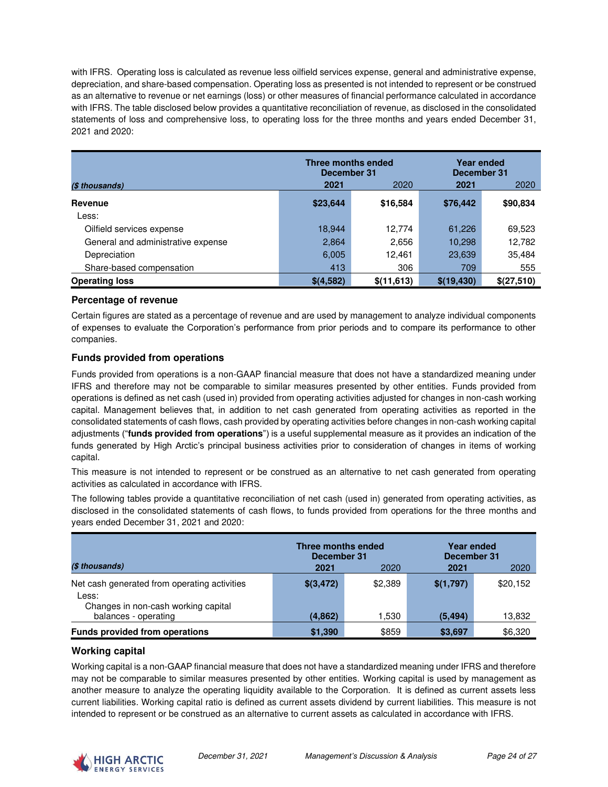with IFRS. Operating loss is calculated as revenue less oilfield services expense, general and administrative expense, depreciation, and share-based compensation. Operating loss as presented is not intended to represent or be construed as an alternative to revenue or net earnings (loss) or other measures of financial performance calculated in accordance with IFRS. The table disclosed below provides a quantitative reconciliation of revenue, as disclosed in the consolidated statements of loss and comprehensive loss, to operating loss for the three months and years ended December 31, 2021 and 2020:

|                                    | Three months ended<br>December 31 |             | <b>Year ended</b><br>December 31 |            |  |
|------------------------------------|-----------------------------------|-------------|----------------------------------|------------|--|
| (\$ thousands)                     | 2021                              | 2020        | 2021                             | 2020       |  |
| Revenue                            | \$23,644                          | \$16,584    | \$76,442                         | \$90,834   |  |
| Less:                              |                                   |             |                                  |            |  |
| Oilfield services expense          | 18,944                            | 12,774      | 61,226                           | 69,523     |  |
| General and administrative expense | 2,864                             | 2.656       | 10,298                           | 12,782     |  |
| Depreciation                       | 6,005                             | 12,461      | 23,639                           | 35,484     |  |
| Share-based compensation           | 413                               | 306         | 709                              | 555        |  |
| <b>Operating loss</b>              | \$(4,582)                         | \$(11, 613) | \$(19, 430)                      | \$(27,510) |  |

#### **Percentage of revenue**

Certain figures are stated as a percentage of revenue and are used by management to analyze individual components of expenses to evaluate the Corporation's performance from prior periods and to compare its performance to other companies.

### **Funds provided from operations**

Funds provided from operations is a non-GAAP financial measure that does not have a standardized meaning under IFRS and therefore may not be comparable to similar measures presented by other entities. Funds provided from operations is defined as net cash (used in) provided from operating activities adjusted for changes in non-cash working capital. Management believes that, in addition to net cash generated from operating activities as reported in the consolidated statements of cash flows, cash provided by operating activities before changes in non-cash working capital adjustments ("**funds provided from operations**") is a useful supplemental measure as it provides an indication of the funds generated by High Arctic's principal business activities prior to consideration of changes in items of working capital.

This measure is not intended to represent or be construed as an alternative to net cash generated from operating activities as calculated in accordance with IFRS.

The following tables provide a quantitative reconciliation of net cash (used in) generated from operating activities, as disclosed in the consolidated statements of cash flows, to funds provided from operations for the three months and years ended December 31, 2021 and 2020:

|                                                                                              | Three months ended<br>December 31 |         | Year ended<br>December 31 |          |
|----------------------------------------------------------------------------------------------|-----------------------------------|---------|---------------------------|----------|
| (\$ thousands)                                                                               | 2021                              | 2020    | 2021                      | 2020     |
| Net cash generated from operating activities<br>Less:<br>Changes in non-cash working capital | \$(3,472)                         | \$2,389 | \$(1,797)                 | \$20,152 |
| balances - operating                                                                         | (4, 862)                          | 1,530   | (5, 494)                  | 13,832   |
| <b>Funds provided from operations</b>                                                        | \$1,390                           | \$859   | \$3,697                   | \$6,320  |

### **Working capital**

Working capital is a non-GAAP financial measure that does not have a standardized meaning under IFRS and therefore may not be comparable to similar measures presented by other entities. Working capital is used by management as another measure to analyze the operating liquidity available to the Corporation. It is defined as current assets less current liabilities. Working capital ratio is defined as current assets dividend by current liabilities. This measure is not intended to represent or be construed as an alternative to current assets as calculated in accordance with IFRS.

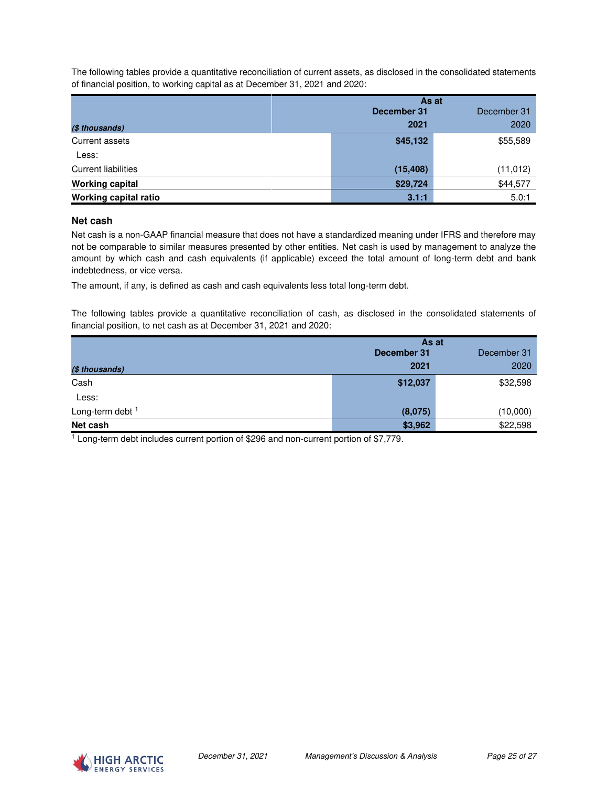The following tables provide a quantitative reconciliation of current assets, as disclosed in the consolidated statements of financial position, to working capital as at December 31, 2021 and 2020:

|                            | As at       |             |  |
|----------------------------|-------------|-------------|--|
|                            | December 31 | December 31 |  |
| (\$ thousands)             | 2021        | 2020        |  |
| Current assets             | \$45,132    | \$55,589    |  |
| Less:                      |             |             |  |
| <b>Current liabilities</b> | (15, 408)   | (11, 012)   |  |
| <b>Working capital</b>     | \$29,724    | \$44,577    |  |
| Working capital ratio      | 3.1:1       | 5.0:1       |  |

#### **Net cash**

Net cash is a non-GAAP financial measure that does not have a standardized meaning under IFRS and therefore may not be comparable to similar measures presented by other entities. Net cash is used by management to analyze the amount by which cash and cash equivalents (if applicable) exceed the total amount of long-term debt and bank indebtedness, or vice versa.

The amount, if any, is defined as cash and cash equivalents less total long-term debt.

The following tables provide a quantitative reconciliation of cash, as disclosed in the consolidated statements of financial position, to net cash as at December 31, 2021 and 2020:

|                  |             | As at       |  |
|------------------|-------------|-------------|--|
|                  | December 31 | December 31 |  |
| (\$ thousands)   | 2021        | 2020        |  |
| Cash             | \$12,037    | \$32,598    |  |
| Less:            |             |             |  |
| Long-term debt 1 | (8,075)     | (10,000)    |  |
| Net cash         | \$3,962     | \$22,598    |  |

<sup>1</sup> Long-term debt includes current portion of \$296 and non-current portion of \$7,779.

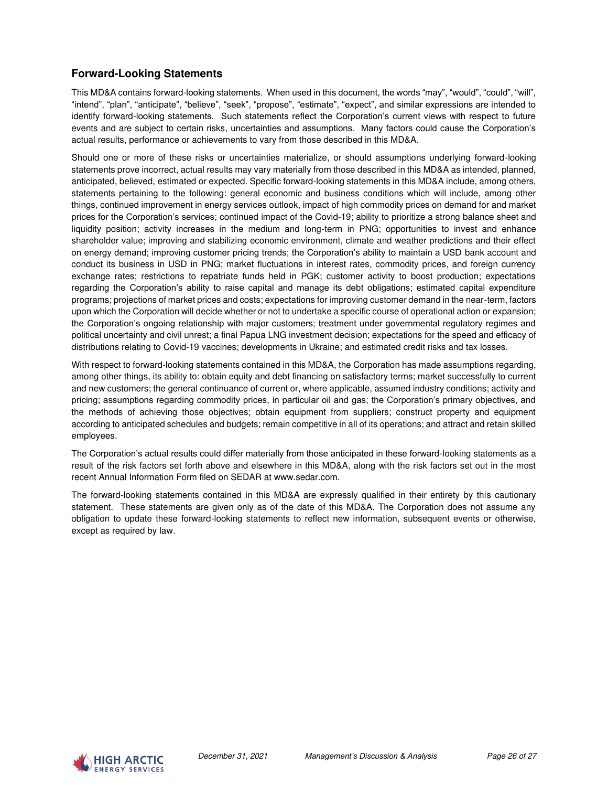# **Forward-Looking Statements**

This MD&A contains forward-looking statements. When used in this document, the words "may", "would", "could", "will", "intend", "plan", "anticipate", "believe", "seek", "propose", "estimate", "expect", and similar expressions are intended to identify forward-looking statements. Such statements reflect the Corporation's current views with respect to future events and are subject to certain risks, uncertainties and assumptions. Many factors could cause the Corporation's actual results, performance or achievements to vary from those described in this MD&A.

Should one or more of these risks or uncertainties materialize, or should assumptions underlying forward-looking statements prove incorrect, actual results may vary materially from those described in this MD&A as intended, planned, anticipated, believed, estimated or expected. Specific forward-looking statements in this MD&A include, among others, statements pertaining to the following: general economic and business conditions which will include, among other things, continued improvement in energy services outlook, impact of high commodity prices on demand for and market prices for the Corporation's services; continued impact of the Covid-19; ability to prioritize a strong balance sheet and liquidity position; activity increases in the medium and long-term in PNG; opportunities to invest and enhance shareholder value; improving and stabilizing economic environment, climate and weather predictions and their effect on energy demand; improving customer pricing trends; the Corporation's ability to maintain a USD bank account and conduct its business in USD in PNG; market fluctuations in interest rates, commodity prices, and foreign currency exchange rates; restrictions to repatriate funds held in PGK; customer activity to boost production; expectations regarding the Corporation's ability to raise capital and manage its debt obligations; estimated capital expenditure programs; projections of market prices and costs; expectations for improving customer demand in the near-term, factors upon which the Corporation will decide whether or not to undertake a specific course of operational action or expansion; the Corporation's ongoing relationship with major customers; treatment under governmental regulatory regimes and political uncertainty and civil unrest; a final Papua LNG investment decision; expectations for the speed and efficacy of distributions relating to Covid-19 vaccines; developments in Ukraine; and estimated credit risks and tax losses.

With respect to forward-looking statements contained in this MD&A, the Corporation has made assumptions regarding, among other things, its ability to: obtain equity and debt financing on satisfactory terms; market successfully to current and new customers; the general continuance of current or, where applicable, assumed industry conditions; activity and pricing; assumptions regarding commodity prices, in particular oil and gas; the Corporation's primary objectives, and the methods of achieving those objectives; obtain equipment from suppliers; construct property and equipment according to anticipated schedules and budgets; remain competitive in all of its operations; and attract and retain skilled employees.

The Corporation's actual results could differ materially from those anticipated in these forward-looking statements as a result of the risk factors set forth above and elsewhere in this MD&A, along with the risk factors set out in the most recent Annual Information Form filed on SEDAR at www.sedar.com.

The forward-looking statements contained in this MD&A are expressly qualified in their entirety by this cautionary statement. These statements are given only as of the date of this MD&A. The Corporation does not assume any obligation to update these forward-looking statements to reflect new information, subsequent events or otherwise, except as required by law.